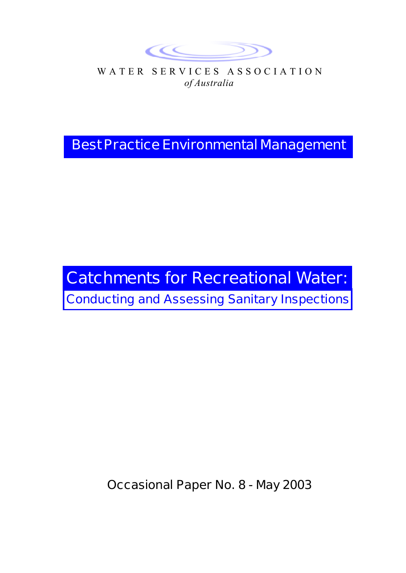

WATER SERVICES ASSOCIATION *of Australia*

**Best Practice Environmental Management**

# **Catchments for Recreational Water: Conducting and Assessing Sanitary Inspections**

**Occasional Paper No. 8 - May 2003**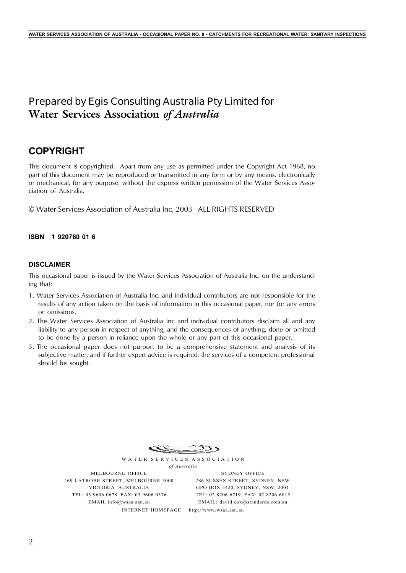## **Prepared by Egis Consulting Australia Pty Limited for Water Services Association** *of Australia*

## **COPYRIGHT**

This document is copyrighted. Apart from any use as permitted under the Copyright Act 1968, no part of this document may be reproduced or transmitted in any form or by any means, electronically or mechanical, for any purpose, without the express written permission of the Water Services Association of Australia.

© Water Services Association of Australia Inc, 2003 ALL RIGHTS RESERVED

### **ISBN 1 920760 01 6**

#### **DISCLAIMER**

This occasional paper is issued by the Water Services Association of Australia Inc. on the understanding that:

- 1. Water Services Association of Australia Inc. and individual contributors are not responsible for the results of any action taken on the basis of information in this occasional paper, nor for any errors or omissions.
- 2. The Water Services Association of Australia Inc and individual contributors disclaim all and any liability to any person in respect of anything, and the consequences of anything, done or omitted to be done by a person in reliance upon the whole or any part of this occasional paper.
- 3. The occasional paper does not purport to be a comprehensive statement and analysis of its subjective matter, and if further expert advice is required, the services of a competent professional should be sought.



WATER SERVICES ASSOCIATION *of Australia*

MELBOURNE OFFICE 469 LATROBE STREET, MELBOURNE 3000 VICTORIA AUSTRALIA TEL: 03 9606 0678. FAX: 03 9606 0376 EMAIL info@wsaa.asn.au

SYDNEY OFFICE 286 SUSSEX STREET, SYDNEY, NSW GPO BOX 5420, SYDNEY, NSW, 2001 TEL: 02 8206 6719. FAX: 02 8206 6015 EMAIL: david.cox@standards.com.au

INTERNET HOMEPAGE http://www.wsaa.asn.au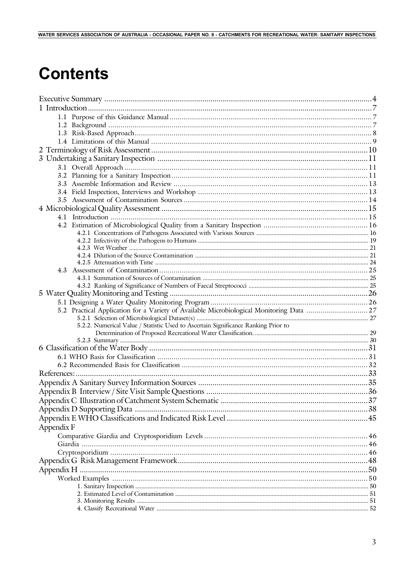### WATER SERVICES ASSOCIATION OF AUSTRALIA - OCCASIONAL PAPER NO. 8 - CATCHMENTS FOR RECREATIONAL WATER: SANITARY INSPECTIONS

# **Contents**

|            | 5.2 Practical Application for a Variety of Available Microbiological Monitoring Data  27 |  |
|------------|------------------------------------------------------------------------------------------|--|
|            |                                                                                          |  |
|            | 5.2.2. Numerical Value / Statistic Used to Ascertain Significance Ranking Prior to       |  |
|            |                                                                                          |  |
|            |                                                                                          |  |
|            |                                                                                          |  |
|            |                                                                                          |  |
|            |                                                                                          |  |
|            |                                                                                          |  |
|            |                                                                                          |  |
|            |                                                                                          |  |
|            |                                                                                          |  |
|            |                                                                                          |  |
|            |                                                                                          |  |
| Appendix F |                                                                                          |  |
|            |                                                                                          |  |
|            |                                                                                          |  |
|            |                                                                                          |  |
|            |                                                                                          |  |
|            |                                                                                          |  |
|            |                                                                                          |  |
|            |                                                                                          |  |
|            |                                                                                          |  |
|            |                                                                                          |  |
|            |                                                                                          |  |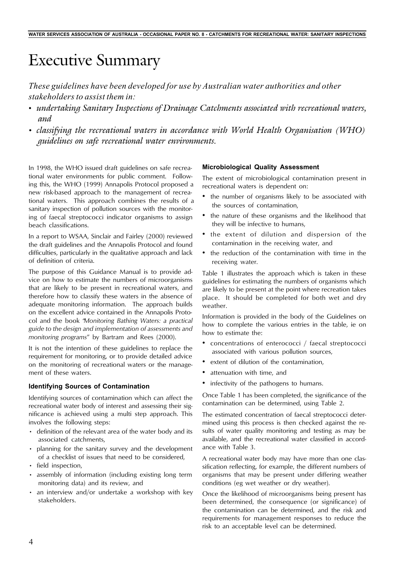# Executive Summary

*These guidelines have been developed for use by Australian water authorities and other stakeholders to assist them in:*

- *undertaking Sanitary Inspections of Drainage Catchments associated with recreational waters, and*
- *• classifying the recreational waters in accordance with World Health Organisation (WHO) guidelines on safe recreational water environments.*

In 1998, the WHO issued draft guidelines on safe recreational water environments for public comment. Following this, the WHO (1999) Annapolis Protocol proposed a new risk-based approach to the management of recreational waters. This approach combines the results of a sanitary inspection of pollution sources with the monitoring of faecal streptococci indicator organisms to assign beach classifications.

In a report to WSAA, Sinclair and Fairley (2000) reviewed the draft guidelines and the Annapolis Protocol and found difficulties, particularly in the qualitative approach and lack of definition of criteria.

The purpose of this Guidance Manual is to provide advice on how to estimate the numbers of microorganisms that are likely to be present in recreational waters, and therefore how to classify these waters in the absence of adequate monitoring information. The approach builds on the excellent advice contained in the Annapolis Protocol and the book "*Monitoring Bathing Waters: a practical guide to the design and implementation of assessments and monitoring programs*" by Bartram and Rees (2000).

It is not the intention of these guidelines to replace the requirement for monitoring, or to provide detailed advice on the monitoring of recreational waters or the management of these waters.

#### **Identifying Sources of Contamination**

Identifying sources of contamination which can affect the recreational water body of interest and assessing their significance is achieved using a multi step approach. This involves the following steps:

- definition of the relevant area of the water body and its associated catchments,
- planning for the sanitary survey and the development of a checklist of issues that need to be considered,
- field inspection,
- assembly of information (including existing long term monitoring data) and its review, and
- an interview and/or undertake a workshop with key stakeholders.

#### **Microbiological Quality Assessment**

The extent of microbiological contamination present in recreational waters is dependent on:

- the number of organisms likely to be associated with the sources of contamination,
- the nature of these organisms and the likelihood that they will be infective to humans,
- the extent of dilution and dispersion of the contamination in the receiving water, and
- the reduction of the contamination with time in the receiving water.

Table 1 illustrates the approach which is taken in these guidelines for estimating the numbers of organisms which are likely to be present at the point where recreation takes place. It should be completed for both wet and dry weather.

Information is provided in the body of the Guidelines on how to complete the various entries in the table, ie on how to estimate the:

- concentrations of enterococci / faecal streptococci associated with various pollution sources,
- extent of dilution of the contamination,
- attenuation with time, and
- infectivity of the pathogens to humans.

Once Table 1 has been completed, the significance of the contamination can be determined, using Table 2.

The estimated concentration of faecal streptococci determined using this process is then checked against the results of water quality monitoring and testing as may be available, and the recreational water classified in accordance with Table 3.

A recreational water body may have more than one classification reflecting, for example, the different numbers of organisms that may be present under differing weather conditions (eg wet weather or dry weather).

Once the likelihood of microorganisms being present has been determined, the consequence (or significance) of the contamination can be determined, and the risk and requirements for management responses to reduce the risk to an acceptable level can be determined.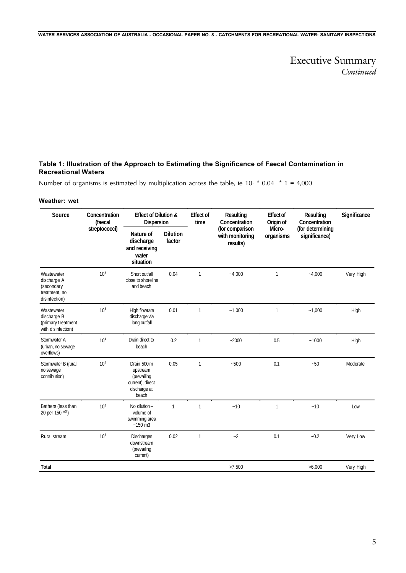Executive Summary *Continued*

### **Table 1: Illustration of the Approach to Estimating the Significance of Faecal Contamination in Recreational Waters**

Number of organisms is estimated by multiplication across the table, ie  $10^5 * 0.04 * 1 = 4,000$ 

#### **Weather: wet**

| Source                                                                    | Concentration<br>(faecal | <b>Effect of Dilution &amp;</b><br>Dispersion                                       |                           | <b>Effect of</b><br>time | Resulting<br>Concentration                     | <b>Effect of</b><br>Origin of | <b>Resulting</b><br>Concentration | Significance |
|---------------------------------------------------------------------------|--------------------------|-------------------------------------------------------------------------------------|---------------------------|--------------------------|------------------------------------------------|-------------------------------|-----------------------------------|--------------|
|                                                                           | streptococci)            | Nature of<br>discharge<br>and receiving<br>water<br>situation                       | <b>Dilution</b><br>factor |                          | (for comparison<br>with monitoring<br>results) | Micro-<br>organisms           | (for determining<br>significance) |              |
| Wastewater<br>discharge A<br>(secondary<br>treatment, no<br>disinfection) | 10 <sup>5</sup>          | Short outfall<br>close to shoreline<br>and beach                                    | 0.04                      | $\mathbf{1}$             | $-4,000$                                       | 1                             | $-4,000$                          | Very High    |
| Wastewater<br>discharge B<br>(primary treatment<br>with disinfection)     | 10 <sup>5</sup>          | High flowrate<br>discharge via<br>long outfall                                      | 0.01                      | $\mathbf{1}$             | $-1.000$                                       | 1                             | $-1,000$                          | High         |
| Stormwater A<br>(urban, no sewage<br>overflows)                           | 10 <sup>4</sup>          | Drain direct to<br>beach                                                            | 0.2                       | $\mathbf{1}$             | $-2000$                                        | 0.5                           | $-1000$                           | High         |
| Stormwater B (rural,<br>no sewage<br>contribution)                        | 10 <sup>4</sup>          | Drain 500 m<br>upstream<br>(prevailing<br>current), direct<br>discharge at<br>beach | 0.05                      | $\mathbf{1}$             | $-500$                                         | 0.1                           | $-50$                             | Moderate     |
| Bathers (less than<br>20 per 150 m <sup>3</sup> )                         | 10 <sup>1</sup>          | No dilution -<br>volume of<br>swimming area<br>$-150$ m3                            | 1                         | $\mathbf{1}$             | ~10                                            | $\mathbf{1}$                  | ~10                               | Low          |
| Rural stream                                                              | 10 <sup>3</sup>          | <b>Discharges</b><br>downstream<br>(prevailing<br>current)                          | 0.02                      | $\mathbf{1}$             | $-2$                                           | 0.1                           | $-0.2$                            | Very Low     |
| Total                                                                     |                          |                                                                                     |                           |                          | >7,500                                         |                               | >6,000                            | Very High    |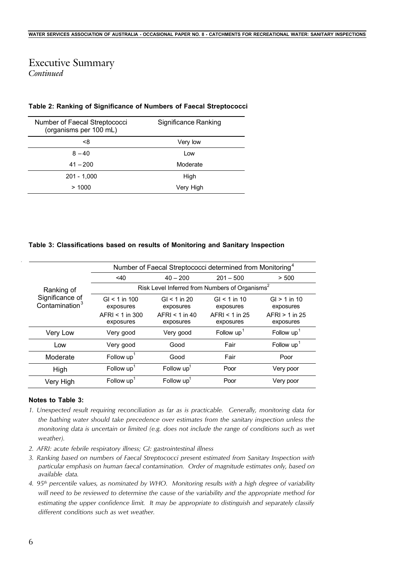## Executive Summary *Continued*

### **Table 2: Ranking of Significance of Numbers of Faecal Streptococci**

| Number of Faecal Streptococci<br>(organisms per 100 mL) | Significance Ranking |
|---------------------------------------------------------|----------------------|
| -8                                                      | Very low             |
| $8 - 40$                                                | Low                  |
| $41 - 200$                                              | Moderate             |
| $201 - 1,000$                                           | High                 |
| >1000                                                   | Very High            |

#### **Table 3: Classifications based on results of Monitoring and Sanitary Inspection**

|                                               | Number of Faecal Streptococci determined from Monitoring <sup>4</sup> |                                                            |                                                              |                                                              |  |  |
|-----------------------------------------------|-----------------------------------------------------------------------|------------------------------------------------------------|--------------------------------------------------------------|--------------------------------------------------------------|--|--|
|                                               | $<$ 40                                                                | $40 - 200$                                                 | $201 - 500$                                                  | > 500                                                        |  |  |
| Ranking of                                    |                                                                       |                                                            | Risk Level Inferred from Numbers of Organisms <sup>2</sup>   |                                                              |  |  |
| Significance of<br>Contamination <sup>3</sup> | $GI < 1$ in 100<br>exposures<br>$AFRI < 1$ in 300<br>exposures        | GI < 1 in 20<br>exposures<br>$AFRI < 1$ in 40<br>exposures | $GI < 1$ in 10<br>exposures<br>$AFRI < 1$ in 25<br>exposures | $GI > 1$ in 10<br>exposures<br>$AFRI > 1$ in 25<br>exposures |  |  |
| Very Low                                      | Very good                                                             | Very good                                                  | Follow $up1$                                                 | Follow $up1$                                                 |  |  |
| Low                                           | Very good                                                             | Good                                                       | Fair                                                         | Follow $up1$                                                 |  |  |
| Moderate                                      | Follow up <sup>1</sup>                                                | Good                                                       | Fair                                                         | Poor                                                         |  |  |
| High                                          | Follow $up1$                                                          | Follow $up1$                                               | Poor                                                         | Very poor                                                    |  |  |
| Very High                                     | Follow $up1$                                                          | Follow $up1$                                               | Poor                                                         | Very poor                                                    |  |  |

### **Notes to Table 3:**

- *1. Unexpected result requiring reconciliation as far as is practicable. Generally, monitoring data for the bathing water should take precedence over estimates from the sanitary inspection unless the monitoring data is uncertain or limited (e.g. does not include the range of conditions such as wet weather).*
- *2. AFRI: acute febrile respiratory illness; GI: gastrointestinal illness*
- *3. Ranking based on numbers of Faecal Streptococci present estimated from Sanitary Inspection with particular emphasis on human faecal contamination. Order of magnitude estimates only, based on available data.*
- *4. 95th percentile values, as nominated by WHO. Monitoring results with a high degree of variability will need to be reviewed to determine the cause of the variability and the appropriate method for estimating the upper confidence limit. It may be appropriate to distinguish and separately classify different conditions such as wet weather.*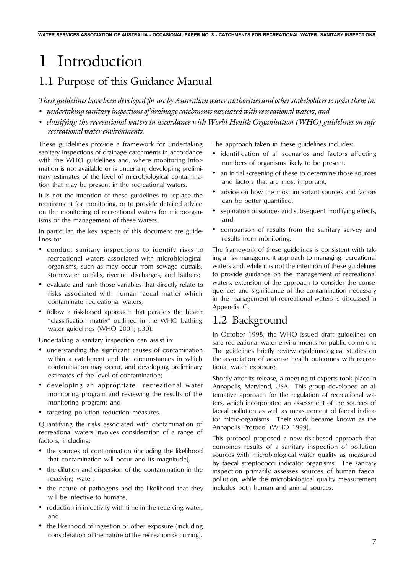# 1 Introduction

## 1.1 Purpose of this Guidance Manual

*These guidelines have been developed for use by Australian water authorities and other stakeholders to assist them in:*

- *• undertaking sanitary inspections of drainage catchments associated with recreational waters, and*
- *• classifying the recreational waters in accordance with World Health Organisation (WHO) guidelines on safe recreational water environments.*

These guidelines provide a framework for undertaking sanitary inspections of drainage catchments in accordance with the WHO guidelines and, where monitoring information is not available or is uncertain, developing preliminary estimates of the level of microbiological contamination that may be present in the recreational waters.

It is not the intention of these guidelines to replace the requirement for monitoring, or to provide detailed advice on the monitoring of recreational waters for microorganisms or the management of these waters.

In particular, the key aspects of this document are guidelines to:

- conduct sanitary inspections to identify risks to recreational waters associated with microbiological organisms, such as may occur from sewage outfalls, stormwater outfalls, riverine discharges, and bathers;
- evaluate and rank those variables that directly relate to risks associated with human faecal matter which contaminate recreational waters;
- follow a risk-based approach that parallels the beach "classification matrix" outlined in the WHO bathing water guidelines (WHO 2001; p30).

Undertaking a sanitary inspection can assist in:

- understanding the significant causes of contamination within a catchment and the circumstances in which contamination may occur, and developing preliminary estimates of the level of contamination;
- developing an appropriate recreational water monitoring program and reviewing the results of the monitoring program; and
- targeting pollution reduction measures.

Quantifying the risks associated with contamination of recreational waters involves consideration of a range of factors, including:

- the sources of contamination (including the likelihood that contamination will occur and its magnitude),
- the dilution and dispersion of the contamination in the receiving water,
- the nature of pathogens and the likelihood that they will be infective to humans,
- reduction in infectivity with time in the receiving water, and
- the likelihood of ingestion or other exposure (including consideration of the nature of the recreation occurring).

The approach taken in these guidelines includes:

- identification of all scenarios and factors affecting numbers of organisms likely to be present,
- an initial screening of these to determine those sources and factors that are most important,
- advice on how the most important sources and factors can be better quantified,
- separation of sources and subsequent modifying effects, and
- comparison of results from the sanitary survey and results from monitoring.

The framework of these guidelines is consistent with taking a risk management approach to managing recreational waters and, while it is not the intention of these guidelines to provide guidance on the management of recreational waters, extension of the approach to consider the consequences and significance of the contamination necessary in the management of recreational waters is discussed in Appendix G.

## 1.2 Background

In October 1998, the WHO issued draft guidelines on safe recreational water environments for public comment. The guidelines briefly review epidemiological studies on the association of adverse health outcomes with recreational water exposure.

Shortly after its release, a meeting of experts took place in Annapolis, Maryland, USA. This group developed an alternative approach for the regulation of recreational waters, which incorporated an assessment of the sources of faecal pollution as well as measurement of faecal indicator micro-organisms. Their work became known as the Annapolis Protocol (WHO 1999).

This protocol proposed a new risk-based approach that combines results of a sanitary inspection of pollution sources with microbiological water quality as measured by faecal streptococci indicator organisms. The sanitary inspection primarily assesses sources of human faecal pollution, while the microbiological quality measurement includes both human and animal sources.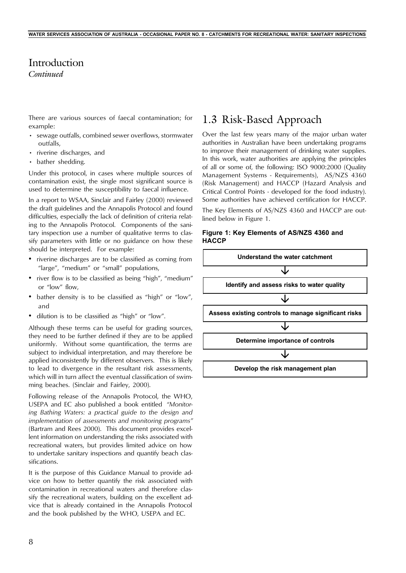## Introduction

*Continued*

There are various sources of faecal contamination; for example:

- sewage outfalls, combined sewer overflows, stormwater outfalls,
- riverine discharges, and
- bather shedding.

Under this protocol, in cases where multiple sources of contamination exist, the single most significant source is used to determine the susceptibility to faecal influence.

In a report to WSAA, Sinclair and Fairley (2000) reviewed the draft guidelines and the Annapolis Protocol and found difficulties, especially the lack of definition of criteria relating to the Annapolis Protocol. Components of the sanitary inspection use a number of qualitative terms to classify parameters with little or no guidance on how these should be interpreted. For example:

- riverine discharges are to be classified as coming from "large", "medium" or "small" populations,
- river flow is to be classified as being "high", "medium" or "low" flow,
- bather density is to be classified as "high" or "low", and
- dilution is to be classified as "high" or "low".

Although these terms can be useful for grading sources, they need to be further defined if they are to be applied uniformly. Without some quantification, the terms are subject to individual interpretation, and may therefore be applied inconsistently by different observers. This is likely to lead to divergence in the resultant risk assessments, which will in turn affect the eventual classification of swimming beaches. (Sinclair and Fairley, 2000).

Following release of the Annapolis Protocol, the WHO, USEPA and EC also published a book entitled *"Monitoring Bathing Waters: a practical guide to the design and implementation of assessments and monitoring programs"* (Bartram and Rees 2000). This document provides excellent information on understanding the risks associated with recreational waters, but provides limited advice on how to undertake sanitary inspections and quantify beach classifications.

It is the purpose of this Guidance Manual to provide advice on how to better quantify the risk associated with contamination in recreational waters and therefore classify the recreational waters, building on the excellent advice that is already contained in the Annapolis Protocol and the book published by the WHO, USEPA and EC.

## 1.3 Risk-Based Approach

Over the last few years many of the major urban water authorities in Australian have been undertaking programs to improve their management of drinking water supplies. In this work, water authorities are applying the principles of all or some of, the following: ISO 9000:2000 (Quality Management Systems - Requirements), AS/NZS 4360 (Risk Management) and HACCP (Hazard Analysis and Critical Control Points - developed for the food industry). Some authorities have achieved certification for HACCP.

The Key Elements of AS/NZS 4360 and HACCP are outlined below in Figure 1.

#### **Figure 1: Key Elements of AS/NZS 4360 and HACCP**

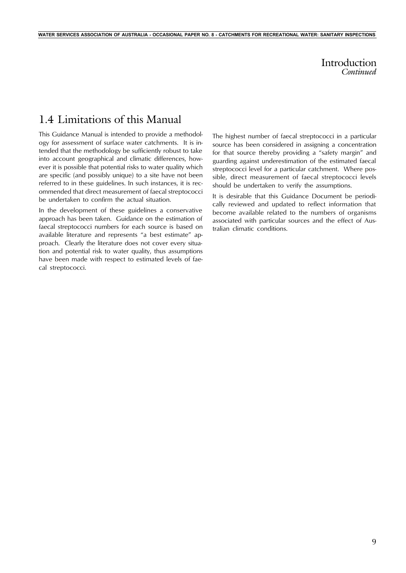## 1.4 Limitations of this Manual

This Guidance Manual is intended to provide a methodology for assessment of surface water catchments. It is intended that the methodology be sufficiently robust to take into account geographical and climatic differences, however it is possible that potential risks to water quality which are specific (and possibly unique) to a site have not been referred to in these guidelines. In such instances, it is recommended that direct measurement of faecal streptococci be undertaken to confirm the actual situation.

**WATER SERVICES ASSOCIATION OF AUSTRALIA - OCCASIONAL PAPER NO. 8 - CATCHMENTS FOR RECREATIONAL WATER: SANITARY INSPECTIONS**

In the development of these guidelines a conservative approach has been taken. Guidance on the estimation of faecal streptococci numbers for each source is based on available literature and represents "a best estimate" approach. Clearly the literature does not cover every situation and potential risk to water quality, thus assumptions have been made with respect to estimated levels of faecal streptococci.

The highest number of faecal streptococci in a particular source has been considered in assigning a concentration for that source thereby providing a "safety margin" and guarding against underestimation of the estimated faecal streptococci level for a particular catchment. Where possible, direct measurement of faecal streptococci levels should be undertaken to verify the assumptions.

It is desirable that this Guidance Document be periodically reviewed and updated to reflect information that become available related to the numbers of organisms associated with particular sources and the effect of Australian climatic conditions.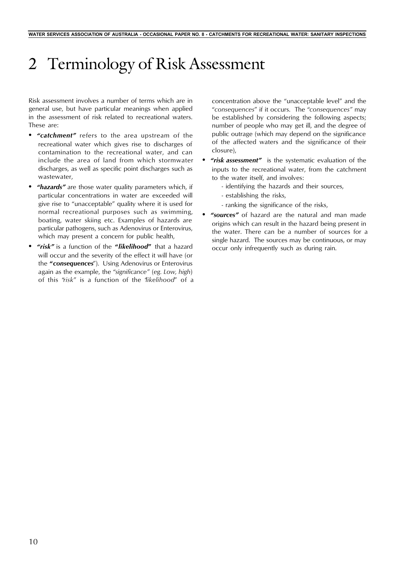# 2 Terminology of Risk Assessment

Risk assessment involves a number of terms which are in general use, but have particular meanings when applied in the assessment of risk related to recreational waters. These are:

- *• "catchment"* refers to the area upstream of the recreational water which gives rise to discharges of contamination to the recreational water, and can include the area of land from which stormwater discharges, as well as specific point discharges such as wastewater,
- *• "hazards"* are those water quality parameters which, if particular concentrations in water are exceeded will give rise to "unacceptable" quality where it is used for normal recreational purposes such as swimming, boating, water skiing etc. Examples of hazards are particular pathogens, such as Adenovirus or Enterovirus, which may present a concern for public health,
- *• "risk"* is a function of the **"***likelihood***"** that a hazard will occur and the severity of the effect it will have (or the **"***consequences*"). Using Adenovirus or Enterovirus again as the example, the "*significance*" (*eg. Low, high*) of this "*risk*" is a function of the "*likelihood*" of a

concentration above the "unacceptable level" and the "*consequences*" if it occurs. The "*consequences"* may be established by considering the following aspects; number of people who may get ill, and the degree of public outrage (which may depend on the significance of the affected waters and the significance of their closure),

- *• "risk assessment"* is the systematic evaluation of the inputs to the recreational water, from the catchment to the water itself, and involves:
	- identifying the hazards and their sources,
	- establishing the risks,
	- ranking the significance of the risks,
- *• "sources"* of hazard are the natural and man made origins which can result in the hazard being present in the water. There can be a number of sources for a single hazard. The sources may be continuous, or may occur only infrequently such as during rain.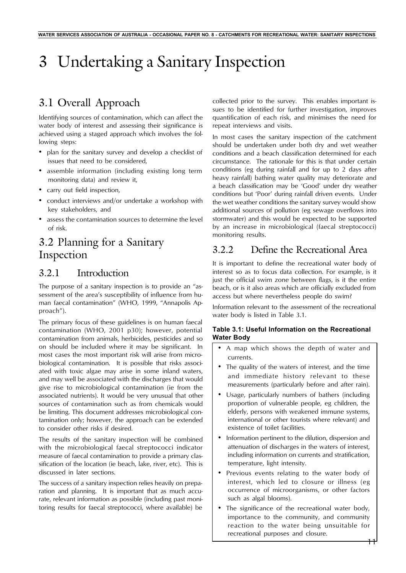# 3 Undertaking a Sanitary Inspection

# 3.1 Overall Approach

Identifying sources of contamination, which can affect the water body of interest and assessing their significance is achieved using a staged approach which involves the following steps:

- plan for the sanitary survey and develop a checklist of issues that need to be considered,
- assemble information (including existing long term monitoring data) and review it,
- carry out field inspection,
- conduct interviews and/or undertake a workshop with key stakeholders, and
- assess the contamination sources to determine the level of risk.

## 3.2 Planning for a Sanitary Inspection

## 3.2.1 Introduction

The purpose of a sanitary inspection is to provide an "assessment of the area's susceptibility of influence from human faecal contamination" (WHO, 1999, "Annapolis Approach").

The primary focus of these guidelines is on human faecal contamination (WHO, 2001 p30); however, potential contamination from animals, herbicides, pesticides and so on should be included where it may be significant. In most cases the most important risk will arise from microbiological contamination. It is possible that risks associated with toxic algae may arise in some inland waters, and may well be associated with the discharges that would give rise to microbiological contamination (ie from the associated nutrients). It would be very unusual that other sources of contamination such as from chemicals would be limiting. This document addresses microbiological contamination only; however, the approach can be extended to consider other risks if desired.

The results of the sanitary inspection will be combined with the microbiological faecal streptococci indicator measure of faecal contamination to provide a primary classification of the location (ie beach, lake, river, etc). This is discussed in later sections.

The success of a sanitary inspection relies heavily on preparation and planning. It is important that as much accurate, relevant information as possible (including past monitoring results for faecal streptococci, where available) be

collected prior to the survey. This enables important issues to be identified for further investigation, improves quantification of each risk, and minimises the need for repeat interviews and visits.

In most cases the sanitary inspection of the catchment should be undertaken under both dry and wet weather conditions and a beach classification determined for each circumstance. The rationale for this is that under certain conditions (eg during rainfall and for up to 2 days after heavy rainfall) bathing water quality may deteriorate and a beach classification may be 'Good' under dry weather conditions but 'Poor' during rainfall driven events. Under the wet weather conditions the sanitary survey would show additional sources of pollution (eg sewage overflows into stormwater) and this would be expected to be supported by an increase in microbiological (faecal streptococci) monitoring results.

## 3.2.2 Define the Recreational Area

It is important to define the recreational water body of interest so as to focus data collection. For example, is it just the official swim zone between flags, is it the entire beach, or is it also areas which are officially excluded from access but where nevertheless people do swim?

Information relevant to the assessment of the recreational water body is listed in Table 3.1.

### **Table 3.1: Useful Information on the Recreational Water Body**

- A map which shows the depth of water and currents.
- The quality of the waters of interest, and the time and immediate history relevant to these measurements (particularly before and after rain).
- Usage, particularly numbers of bathers (including proportion of vulnerable people, eg children, the elderly, persons with weakened immune systems, international or other tourists where relevant) and existence of toilet facilities.
- Information pertinent to the dilution, dispersion and attenuation of discharges in the waters of interest, including information on currents and stratification, temperature, light intensity.
- Previous events relating to the water body of interest, which led to closure or illness (eg occurrence of microorganisms, or other factors such as algal blooms).
- The significance of the recreational water body, importance to the community, and community reaction to the water being unsuitable for recreational purposes and closure.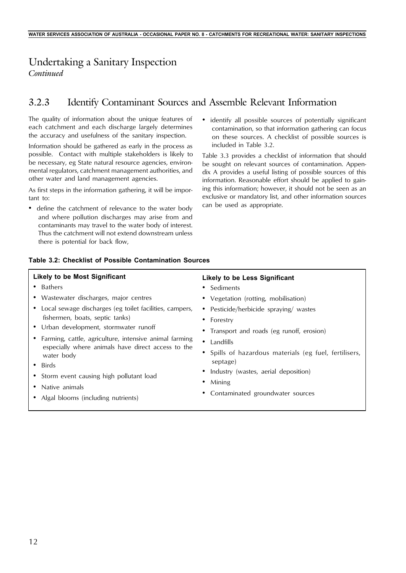## Undertaking a Sanitary Inspection *Continued*

## 3.2.3 Identify Contaminant Sources and Assemble Relevant Information

The quality of information about the unique features of each catchment and each discharge largely determines the accuracy and usefulness of the sanitary inspection.

Information should be gathered as early in the process as possible. Contact with multiple stakeholders is likely to be necessary, eg State natural resource agencies, environmental regulators, catchment management authorities, and other water and land management agencies.

As first steps in the information gathering, it will be important to:

- define the catchment of relevance to the water body and where pollution discharges may arise from and contaminants may travel to the water body of interest. Thus the catchment will not extend downstream unless there is potential for back flow,
- identify all possible sources of potentially significant contamination, so that information gathering can focus on these sources. A checklist of possible sources is included in Table 3.2.

Table 3.3 provides a checklist of information that should be sought on relevant sources of contamination. Appendix A provides a useful listing of possible sources of this information. Reasonable effort should be applied to gaining this information; however, it should not be seen as an exclusive or mandatory list, and other information sources can be used as appropriate.

| <b>Likely to be Most Significant</b><br>• Bathers<br>• Wastewater discharges, major centres<br>• Local sewage discharges (eg toilet facilities, campers,<br>fishermen, boats, septic tanks)<br>• Urban development, stormwater runoff<br>• Farming, cattle, agriculture, intensive animal farming<br>especially where animals have direct access to the<br>water body<br>Birds<br>• Storm event causing high pollutant load<br>• Native animals | <b>Likely to be Less Significant</b><br>• Sediments<br>• Vegetation (rotting, mobilisation)<br>• Pesticide/herbicide spraying/ wastes<br>• Forestry<br>• Transport and roads (eg runoff, erosion)<br>Landfills<br>Spills of hazardous materials (eg fuel, fertilisers,<br>septage)<br>Industry (wastes, aerial deposition)<br>Mining<br>Contaminated groundwater sources |
|-------------------------------------------------------------------------------------------------------------------------------------------------------------------------------------------------------------------------------------------------------------------------------------------------------------------------------------------------------------------------------------------------------------------------------------------------|--------------------------------------------------------------------------------------------------------------------------------------------------------------------------------------------------------------------------------------------------------------------------------------------------------------------------------------------------------------------------|
| Algal blooms (including nutrients)                                                                                                                                                                                                                                                                                                                                                                                                              |                                                                                                                                                                                                                                                                                                                                                                          |
|                                                                                                                                                                                                                                                                                                                                                                                                                                                 |                                                                                                                                                                                                                                                                                                                                                                          |

#### **Table 3.2: Checklist of Possible Contamination Sources**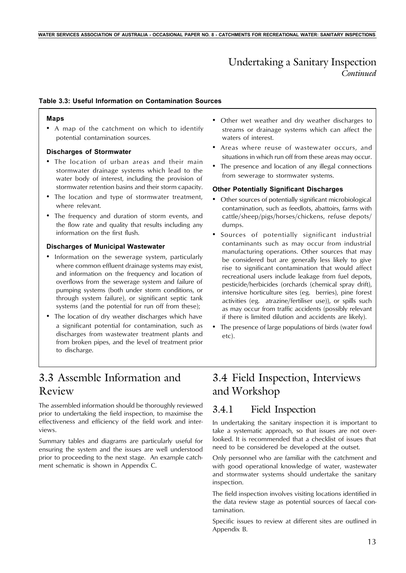## Undertaking a Sanitary Inspection *Continued*

#### **Table 3.3: Useful Information on Contamination Sources**

#### **Maps**

• A map of the catchment on which to identify potential contamination sources.

#### **Discharges of Stormwater**

- The location of urban areas and their main stormwater drainage systems which lead to the water body of interest, including the provision of stormwater retention basins and their storm capacity.
- The location and type of stormwater treatment, where relevant.
- The frequency and duration of storm events, and the flow rate and quality that results including any information on the first flush.

#### **Discharges of Municipal Wastewater**

- Information on the sewerage system, particularly where common effluent drainage systems may exist, and information on the frequency and location of overflows from the sewerage system and failure of pumping systems (both under storm conditions, or through system failure), or significant septic tank systems (and the potential for run off from these);
- The location of dry weather discharges which have a significant potential for contamination, such as discharges from wastewater treatment plants and from broken pipes, and the level of treatment prior to discharge.
- Other wet weather and dry weather discharges to streams or drainage systems which can affect the waters of interest.
- Areas where reuse of wastewater occurs, and situations in which run off from these areas may occur.
- The presence and location of any illegal connections from sewerage to stormwater systems.

#### **Other Potentially Significant Discharges**

- Other sources of potentially significant microbiological contamination, such as feedlots, abattoirs, farms with cattle/sheep/pigs/horses/chickens, refuse depots/ dumps.
- Sources of potentially significant industrial contaminants such as may occur from industrial manufacturing operations. Other sources that may be considered but are generally less likely to give rise to significant contamination that would affect recreational users include leakage from fuel depots, pesticide/herbicides (orchards (chemical spray drift), intensive horticulture sites (eg. berries), pine forest activities (eg. atrazine/fertiliser use)), or spills such as may occur from traffic accidents (possibly relevant if there is limited dilution and accidents are likely).
- The presence of large populations of birds (water fowl etc).

## 3.3 Assemble Information and Review

The assembled information should be thoroughly reviewed prior to undertaking the field inspection, to maximise the effectiveness and efficiency of the field work and interviews.

Summary tables and diagrams are particularly useful for ensuring the system and the issues are well understood prior to proceeding to the next stage. An example catchment schematic is shown in Appendix C.

## 3.4 Field Inspection, Interviews and Workshop

## 3.4.1 Field Inspection

In undertaking the sanitary inspection it is important to take a systematic approach, so that issues are not overlooked. It is recommended that a checklist of issues that need to be considered be developed at the outset.

Only personnel who are familiar with the catchment and with good operational knowledge of water, wastewater and stormwater systems should undertake the sanitary inspection.

The field inspection involves visiting locations identified in the data review stage as potential sources of faecal contamination.

Specific issues to review at different sites are outlined in Appendix B.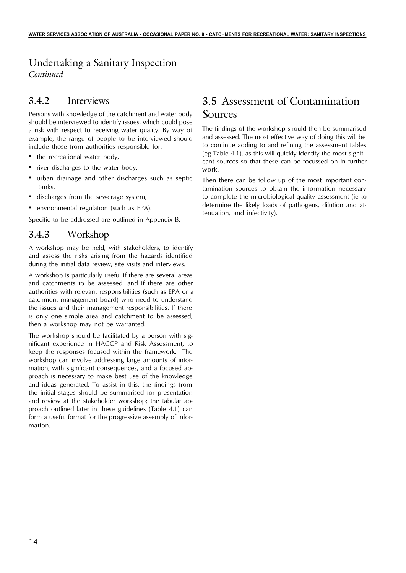## Undertaking a Sanitary Inspection *Continued*

## 3.4.2 Interviews

Persons with knowledge of the catchment and water body should be interviewed to identify issues, which could pose a risk with respect to receiving water quality. By way of example, the range of people to be interviewed should include those from authorities responsible for:

- the recreational water body,
- river discharges to the water body,
- urban drainage and other discharges such as septic tanks,
- discharges from the sewerage system,
- environmental regulation (such as EPA).

Specific to be addressed are outlined in Appendix B.

## 3.4.3 Workshop

A workshop may be held, with stakeholders, to identify and assess the risks arising from the hazards identified during the initial data review, site visits and interviews.

A workshop is particularly useful if there are several areas and catchments to be assessed, and if there are other authorities with relevant responsibilities (such as EPA or a catchment management board) who need to understand the issues and their management responsibilities. If there is only one simple area and catchment to be assessed, then a workshop may not be warranted.

The workshop should be facilitated by a person with significant experience in HACCP and Risk Assessment, to keep the responses focused within the framework. The workshop can involve addressing large amounts of information, with significant consequences, and a focused approach is necessary to make best use of the knowledge and ideas generated. To assist in this, the findings from the initial stages should be summarised for presentation and review at the stakeholder workshop; the tabular approach outlined later in these guidelines (Table 4.1) can form a useful format for the progressive assembly of information.

## 3.5 Assessment of Contamination Sources

The findings of the workshop should then be summarised and assessed. The most effective way of doing this will be to continue adding to and refining the assessment tables (eg Table 4.1), as this will quickly identify the most significant sources so that these can be focussed on in further work.

Then there can be follow up of the most important contamination sources to obtain the information necessary to complete the microbiological quality assessment (ie to determine the likely loads of pathogens, dilution and attenuation, and infectivity).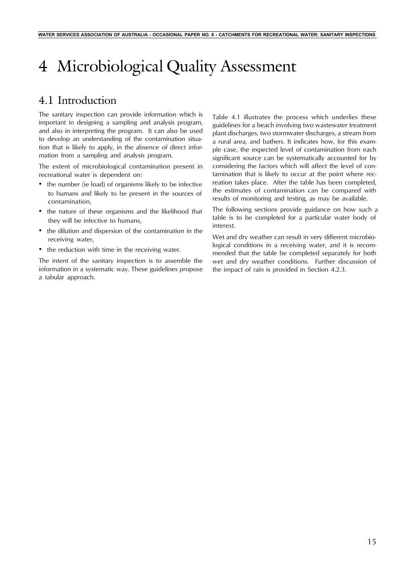# 4 Microbiological Quality Assessment

## 4.1 Introduction

The sanitary inspection can provide information which is important in designing a sampling and analysis program, and also in interpreting the program. It can also be used to develop an understanding of the contamination situation that is likely to apply, in the absence of direct information from a sampling and analysis program.

The extent of microbiological contamination present in recreational water is dependent on:

- the number (ie load) of organisms likely to be infective to humans and likely to be present in the sources of contamination,
- the nature of these organisms and the likelihood that they will be infective to humans,
- the dilution and dispersion of the contamination in the receiving water,
- the reduction with time in the receiving water.

The intent of the sanitary inspection is to assemble the information in a systematic way. These guidelines propose a tabular approach.

Table 4.1 illustrates the process which underlies these guidelines for a beach involving two wastewater treatment plant discharges, two stormwater discharges, a stream from a rural area, and bathers. It indicates how, for this example case, the expected level of contamination from each significant source can be systematically accounted for by considering the factors which will affect the level of contamination that is likely to occur at the point where recreation takes place. After the table has been completed, the estimates of contamination can be compared with results of monitoring and testing, as may be available.

The following sections provide guidance on how such a table is to be completed for a particular water body of interest.

Wet and dry weather can result in very different microbiological conditions in a receiving water, and it is recommended that the table be completed separately for both wet and dry weather conditions. Further discussion of the impact of rain is provided in Section 4.2.3.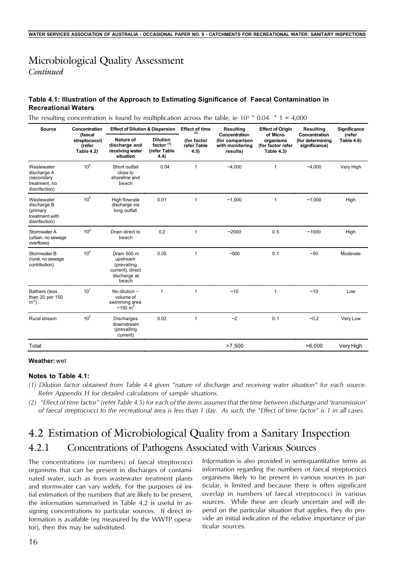# Microbiological Quality Assessment

*Continued*

### **Table 4.1: Illustration of the Approach to Estimating Significance of Faecal Contamination in Recreational Waters**

The resulting concentration is found by multiplication across the table, ie  $10^5 * 0.04 * 1 = 4,000$ 

| <b>Source</b>                                                             | Concentration                                    | <b>Effect of Dilution &amp; Dispersion</b>                                          |                                                          | <b>Effect of time</b><br>(2)       | <b>Resulting</b>                                                | <b>Effect of Origin</b>                                          | <b>Resulting</b>                                   | Significance                |
|---------------------------------------------------------------------------|--------------------------------------------------|-------------------------------------------------------------------------------------|----------------------------------------------------------|------------------------------------|-----------------------------------------------------------------|------------------------------------------------------------------|----------------------------------------------------|-----------------------------|
|                                                                           | (faecal<br>streptococci)<br>(refer<br>Table 4.2) | Nature of<br>discharge and<br>receiving water<br>situation                          | <b>Dilution</b><br>factor $(1)$<br>(refer Table<br>(4.4) | (for factor<br>refer Table<br>4.5) | Concentration<br>(for comparison<br>with monitoring<br>results) | of Micro-<br>organisms<br>(for factor refer<br><b>Table 4.3)</b> | Concentration<br>(for determining<br>significance) | (refer<br><b>Table 4.6)</b> |
| Wastewater<br>discharge A<br>(secondary<br>treatment, no<br>disinfection) | 10 <sup>5</sup>                                  | Short outfall<br>close to<br>shoreline and<br>beach                                 | 0.04                                                     | $\mathbf{1}$                       | ~1000                                                           | 1                                                                | $-4.000$                                           | Very High                   |
| Wastewater<br>discharge B<br>(primary<br>treatment with<br>disinfection)  | 10 <sup>5</sup>                                  | High flowrate<br>discharge via<br>long outfall                                      | 0.01                                                     | 1                                  | ~1,000                                                          | 1                                                                | ~1.000                                             | High                        |
| Stormwater A<br>(urban, no sewage<br>overflows)                           | 10 <sup>4</sup>                                  | Drain direct to<br>beach                                                            | 0.2                                                      | 1                                  | ~2000                                                           | 0.5                                                              | ~1000                                              | High                        |
| Stormwater B<br>(rural, no sewage<br>contribution)                        | 10 <sup>4</sup>                                  | Drain 500 m<br>upstream<br>(prevailing<br>current), direct<br>discharge at<br>beach | 0.05                                                     | $\mathbf{1}$                       | ~100                                                            | 0.1                                                              | ~50                                                | Moderate                    |
| <b>Bathers (less</b><br>than 20 per 150<br>$m3$ )                         | 10 <sup>1</sup>                                  | No dilution $-$<br>volume of<br>swimming area<br>$~150~{\rm m}^3$                   | 1                                                        | 1                                  | ~10                                                             | 1                                                                | ~10                                                | Low                         |
| Rural stream                                                              | 10 <sup>3</sup>                                  | <b>Discharges</b><br>downstream<br>(prevailing<br>current)                          | 0.02                                                     | $\mathbf{1}$                       | ~2                                                              | 0.1                                                              | $-0.2$                                             | Very Low                    |
| Total                                                                     |                                                  |                                                                                     |                                                          |                                    | >7.500                                                          |                                                                  | >6.000                                             | Very High                   |

#### **Weather:** wet

#### **Notes to Table 4.1:**

- *(1) Dilution factor obtained from Table 4.4 given "nature of discharge and receiving water situation" for each source. Refer Appendix H for detailed calculations of sample situations.*
- *(2) "Effect of time factor" (refer Table 4.5) for each of the items assumes that the time between discharge and 'transmission' of faecal streptococci to the recreational area is less than 1 day. As such, the "Effect of time factor" is 1 in all cases.*

## 4.2 Estimation of Microbiological Quality from a Sanitary Inspection 4.2.1 Concentrations of Pathogens Associated with Various Sources

The concentrations (or numbers) of faecal streptococci organisms that can be present in discharges of contaminated water, such as from wastewater treatment plants and stormwater can vary widely. For the purposes of initial estimation of the numbers that are likely to be present, the information summarised in Table 4.2 is useful in assigning concentrations to particular sources. If direct information is available (eg measured by the WWTP operator), then this may be substituted.

Information is also provided in semi-quantitative terms as information regarding the numbers of faecal streptococci organisms likely to be present in various sources in particular, is limited and because there is often significant overlap in numbers of faecal streptococci in various sources. While these are clearly uncertain and will depend on the particular situation that applies, they do provide an initial indication of the relative importance of particular sources.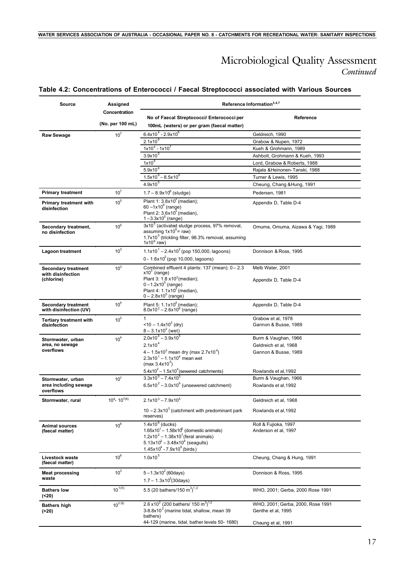### **Table 4.2: Concentrations of Enterococci / Faecal Streptococci associated with Various Sources**

| <b>Source</b>                                           | Assigned                          | Reference Information <sup>3,4,7</sup>                                                                                                                                                  |                                                         |  |  |
|---------------------------------------------------------|-----------------------------------|-----------------------------------------------------------------------------------------------------------------------------------------------------------------------------------------|---------------------------------------------------------|--|--|
|                                                         | Concentration<br>(No. per 100 mL) | No of Faecal Streptococci/ Enterococci per<br>100mL (waters) or per gram (faecal matter)                                                                                                | Reference                                               |  |  |
| <b>Raw Sewage</b>                                       | 10 <sup>7</sup>                   | $6.4x10^{4}$ - 2.9x10 <sup>6</sup>                                                                                                                                                      | Geldreich, 1990                                         |  |  |
|                                                         |                                   | $2.1x10^{6}$                                                                                                                                                                            | Grabow & Nupen, 1972                                    |  |  |
|                                                         |                                   | $1x10^4 - 1x10^7$                                                                                                                                                                       | Kueh & Grohmann, 1989                                   |  |  |
|                                                         |                                   | 3.9x10 <sup>5</sup>                                                                                                                                                                     | Ashbolt, Grohmann & Kueh, 1993                          |  |  |
|                                                         |                                   | $1x10^6$                                                                                                                                                                                | Lord, Grabow & Roberts, 1988                            |  |  |
|                                                         |                                   | $5.9x10^6$                                                                                                                                                                              | Rajala & Heinonen-Tanski, 1988                          |  |  |
|                                                         |                                   | $1.5x10^6 - 8.5x10^6$                                                                                                                                                                   | Turner & Lewis, 1995                                    |  |  |
|                                                         |                                   | $4.9x10^{5}$                                                                                                                                                                            | Cheung, Chang & Hung, 1991                              |  |  |
| <b>Primary treatment</b>                                | 10 <sup>7</sup>                   | $1.7 - 8.9x10^6$ (sludge)                                                                                                                                                               | Pedersen, 1981                                          |  |  |
| <b>Primary treatment with</b><br>disinfection           | 10 <sup>5</sup>                   | Plant 1: $3.8 \times 10^3$ (median);<br>$60 - 1x10^6$ (range)<br>Plant 2: $3.6x10^3$ (median),<br>$1 - 3.3x10^5$ (range)                                                                | Appendix D, Table D-4                                   |  |  |
| Secondary treatment,<br>no disinfection                 | $10^5$                            | 3x10 <sup>5</sup> (activated sludge process, 97% removal,<br>assuming $1x10^6$ = raw)<br>1.7x10 <sup>5</sup> (trickling filter, 98.3% removal, assuming<br>$1x10^6$ raw)                | Omuma, Omuma, Aizawa & Yagi, 1989                       |  |  |
| Lagoon treatment                                        | 10 <sup>3</sup>                   | $1.1x10^{1} - 2.4x10^{2}$ (pop 150,000, lagoons)<br>0 - $1.6x10^3$ (pop 10,000, lagoons)                                                                                                | Donnison & Ross, 1995                                   |  |  |
| <b>Secondary treatment</b><br>with disinfection         | 10 <sup>3</sup>                   | Combined effluent 4 plants: 137 (mean); 0 - 2.3<br>$x103$ (range)                                                                                                                       | Melb Water, 2001                                        |  |  |
| (chlorine)                                              |                                   | Plant 3: 1.8 x10 <sup>3</sup> (median);<br>$0 - 1.2x10^5$ (range)<br>Plant 4: $1.1x103$ (median),<br>$0 - 2.8x10^5$ (range)                                                             | Appendix D, Table D-4                                   |  |  |
| <b>Secondary treatment</b><br>with disinfection (UV)    | 10 <sup>4</sup>                   | Plant 5: 1.1x10 <sup>4</sup> (median);<br>$8.0x10^{2} - 2.6x10^{6}$ (range)                                                                                                             | Appendix D, Table D-4                                   |  |  |
| <b>Tertiary treatment with</b><br>disinfection          | 10 <sup>2</sup>                   | 1<br>$<$ 10 - 1.4x10 <sup>2</sup> (dry)<br>$8 - 3.1x10^{2}$ (wet)                                                                                                                       | Grabow et al, 1978<br>Gannon & Busse, 1989              |  |  |
| Stormwater, urban                                       | 10 <sup>4</sup>                   | $2.0x10^{4} - 3.9x10^{5}$                                                                                                                                                               | Burm & Vaughan, 1966                                    |  |  |
| area, no sewage                                         |                                   | $2.1x10^{4}$                                                                                                                                                                            | Geldreich et al, 1968                                   |  |  |
| overflows                                               |                                   | $4 - 1.5x10^{3}$ mean dry (max 2.7x10 <sup>4</sup> )<br>$2.3x10^{1} - 1.1x10^{4}$ mean wet<br>(max $3.4x10^{5}$ )                                                                       | Gannon & Busse, 1989                                    |  |  |
|                                                         |                                   | $5.4x10^2 - 1.5x10^4$ (sewered catchments)                                                                                                                                              | Rowlands et al, 1992                                    |  |  |
| Stormwater, urban<br>area including sewage<br>overflows | 10 <sup>7</sup>                   | $3.3x10^{5} - 7.4x10^{5}$<br>$6.5x10^2 - 3.0x10^6$ (unsewered catchment)                                                                                                                | Burm & Vaughan, 1966<br>Rowlands et al, 1992            |  |  |
| Stormwater, rural                                       | $10^4 - 10^{7(6)}$                | $2.1x10^3 - 7.9x10^5$                                                                                                                                                                   | Geldreich et al, 1968                                   |  |  |
|                                                         |                                   | $10 - 2.3 \times 10^3$ (catchment with predominant park<br>reserves)                                                                                                                    | Rowlands et al, 1992                                    |  |  |
| <b>Animal sources</b><br>(faecal matter)                | $10^6$                            | $1.4x106$ (ducks)<br>$1.65x101 - 1.58x106$ (domestic animals)<br>$1.2x10^2 - 1.38x10^7$ (feral animals)<br>$5.13x10^{2} - 3.48x10^{4}$ (seagulls)<br>$1.45x10^{4} - 7.9x10^{6}$ (birds) | Roll & Fujioka, 1997<br>Anderson et al. 1997            |  |  |
| Livestock waste<br>(faecal matter)                      | $10^6$                            | $1.0 \times 10^5$                                                                                                                                                                       | Cheung, Chang & Hung, 1991                              |  |  |
| <b>Meat processing</b><br>waste                         | 10 <sup>3</sup>                   | $5 - 1.3x10^2$ (60days)<br>$1.7 - 1.3 \times 10^3 (30 \text{days})$                                                                                                                     | Donnison & Ross, 1995                                   |  |  |
| <b>Bathers low</b><br>(<20)                             | $10^{1(5)}$                       | 5.5 (20 bathers/150 m <sup>3</sup> ) <sup>1,2</sup>                                                                                                                                     | WHO, 2001; Gerba, 2000 Rose 1991                        |  |  |
| <b>Bathers high</b><br>( > 20)                          | $10^{3(5)}$                       | 2.6 x10 <sup>2</sup> (200 bathers/ 150 m <sup>3</sup> ) <sup>1,2</sup><br>$3-8.8\times10^2$ (marine tidal, shallow, mean 39<br>bathers)                                                 | WHO, 2001; Gerba, 2000, Rose 1991<br>Genthe et al, 1995 |  |  |
|                                                         |                                   | 44-129 (marine, tidal, bather levels 50- 1680)                                                                                                                                          | Cheung et al, 1991                                      |  |  |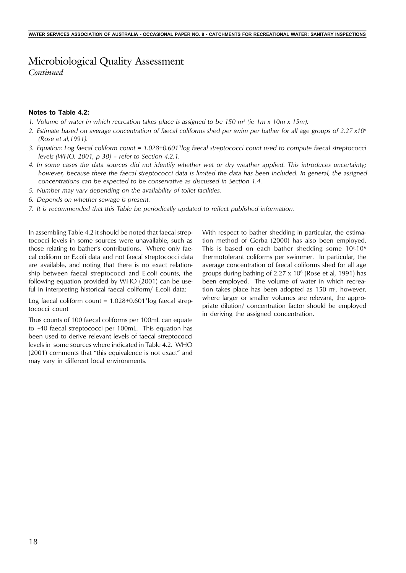# Microbiological Quality Assessment

*Continued*

### **Notes to Table 4.2:**

- *1. Volume of water in which recreation takes place is assigned to be 150 m<sup>3</sup> (ie 1m x 10m x 15m).*
- *2. Estimate based on average concentration of faecal coliforms shed per swim per bather for all age groups of 2.27 x10<sup>6</sup> (Rose et al,1991).*
- *3. Equation: Log faecal coliform count = 1.028+0.601\*log faecal streptococci count used to compute faecal streptococci levels (WHO, 2001, p 38) – refer to Section 4.2.1.*
- *4. In some cases the data sources did not identify whether wet or dry weather applied. This introduces uncertainty; however, because there the faecal streptococci data is limited the data has been included. In general, the assigned concentrations can be expected to be conservative as discussed in Section 1.4.*
- *5. Number may vary depending on the availability of toilet facilities.*
- *6. Depends on whether sewage is present.*
- *7. It is recommended that this Table be periodically updated to reflect published information.*

In assembling Table 4.2 it should be noted that faecal streptococci levels in some sources were unavailable, such as those relating to bather's contributions. Where only faecal coliform or E.coli data and not faecal streptococci data are available, and noting that there is no exact relationship between faecal streptococci and E.coli counts, the following equation provided by WHO (2001) can be useful in interpreting historical faecal coliform/ E.coli data:

Log faecal coliform count =  $1.028+0.601*$ log faecal streptococci count

Thus counts of 100 faecal coliforms per 100mL can equate to ~40 faecal streptococci per 100mL. This equation has been used to derive relevant levels of faecal streptococci levels in some sources where indicated in Table 4.2. WHO (2001) comments that "this equivalence is not exact" and may vary in different local environments.

With respect to bather shedding in particular, the estimation method of Gerba (2000) has also been employed. This is based on each bather shedding some  $10<sup>5</sup>$ -10<sup>6</sup> thermotolerant coliforms per swimmer. In particular, the average concentration of faecal coliforms shed for all age groups during bathing of  $2.27 \times 10^6$  (Rose et al, 1991) has been employed. The volume of water in which recreation takes place has been adopted as  $150 \text{ m}^3$ , however, where larger or smaller volumes are relevant, the appropriate dilution/ concentration factor should be employed in deriving the assigned concentration.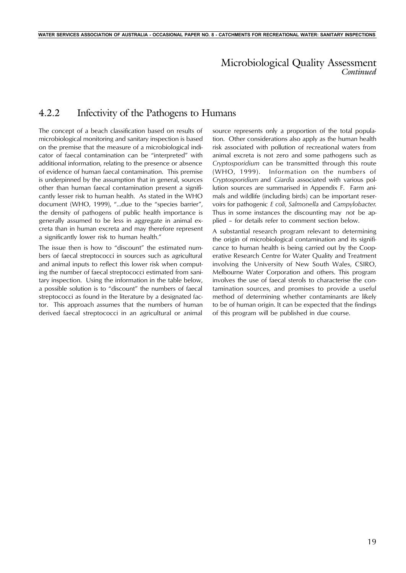## 4.2.2 Infectivity of the Pathogens to Humans

The concept of a beach classification based on results of microbiological monitoring and sanitary inspection is based on the premise that the measure of a microbiological indicator of faecal contamination can be "interpreted" with additional information, relating to the presence or absence of evidence of human faecal contamination. This premise is underpinned by the assumption that in general, sources other than human faecal contamination present a significantly lesser risk to human health. As stated in the WHO document (WHO, 1999), "…due to the "species barrier", the density of pathogens of public health importance is generally assumed to be less in aggregate in animal excreta than in human excreta and may therefore represent a significantly lower risk to human health."

The issue then is how to "discount" the estimated numbers of faecal streptococci in sources such as agricultural and animal inputs to reflect this lower risk when computing the number of faecal streptococci estimated from sanitary inspection. Using the information in the table below, a possible solution is to "discount" the numbers of faecal streptococci as found in the literature by a designated factor. This approach assumes that the numbers of human derived faecal streptococci in an agricultural or animal

source represents only a proportion of the total population. Other considerations also apply as the human health risk associated with pollution of recreational waters from animal excreta is not zero and some pathogens such as *Cryptosporidium* can be transmitted through this route (WHO, 1999). Information on the numbers of *Cryptosporidium* and *Giardia* associated with various pollution sources are summarised in Appendix F. Farm animals and wildlife (including birds) can be important reservoirs for pathogenic *E coli*, *Salmonella* and *Campylobacter*. Thus in some instances the discounting may *not* be applied – for details refer to comment section below.

A substantial research program relevant to determining the origin of microbiological contamination and its significance to human health is being carried out by the Cooperative Research Centre for Water Quality and Treatment involving the University of New South Wales, CSIRO, Melbourne Water Corporation and others. This program involves the use of faecal sterols to characterise the contamination sources, and promises to provide a useful method of determining whether contaminants are likely to be of human origin. It can be expected that the findings of this program will be published in due course.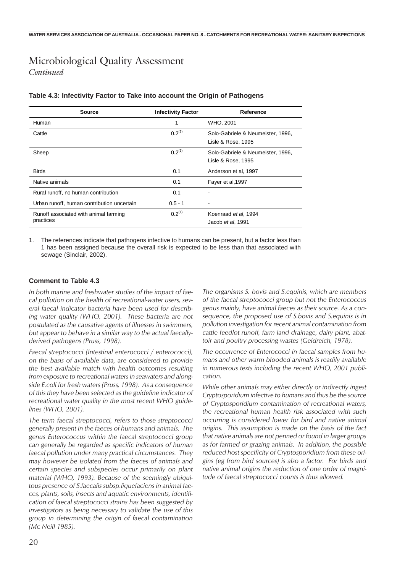| Source                                     | <b>Infectivity Factor</b> | Reference                         |
|--------------------------------------------|---------------------------|-----------------------------------|
| Human                                      |                           | WHO, 2001                         |
| Cattle                                     | $0.2^{(1)}$               | Solo-Gabriele & Neumeister, 1996, |
|                                            |                           | Lisle & Rose, 1995                |
| Sheep                                      | $0.2^{(1)}$               | Solo-Gabriele & Neumeister, 1996, |
|                                            |                           | Lisle & Rose, 1995                |
| <b>Birds</b>                               | 0.1                       | Anderson et al, 1997              |
| Native animals                             | 0.1                       | Fayer et al, 1997                 |
| Rural runoff, no human contribution        | 0.1                       |                                   |
| Urban runoff, human contribution uncertain | $0.5 - 1$                 |                                   |
| Runoff associated with animal farming      | $0.2^{(1)}$               | Koenraad et al, 1994              |
| practices                                  |                           | Jacob et al, 1991                 |

#### **Table 4.3: Infectivity Factor to Take into account the Origin of Pathogens**

The references indicate that pathogens infective to humans can be present, but a factor less than 1 has been assigned because the overall risk is expected to be less than that associated with sewage (Sinclair, 2002).

### **Comment to Table 4.3**

*In both marine and freshwater studies of the impact of faecal pollution on the health of recreational-water users, several faecal indicator bacteria have been used for describing water quality (WHO, 2001). These bacteria are not postulated as the causative agents of illnesses in swimmers, but appear to behave in a similar way to the actual faecallyderived pathogens (Pruss, 1998).*

*Faecal streptococci (Intestinal enterococci / enterococci), on the basis of available data, are considered to provide the best available match with health outcomes resulting from exposure to recreational waters in seawaters and alongside E.coli for fresh waters (Pruss, 1998). As a consequence of this they have been selected as the guideline indicator of recreational water quality in the most recent WHO guidelines (WHO, 2001).*

*The term faecal streptococci, refers to those streptococci generally present in the faeces of humans and animals. The genus Enterococcus within the faecal streptococci group can generally be regarded as specific indicators of human faecal pollution under many practical circumstances. They may however be isolated from the faeces of animals and certain species and subspecies occur primarily on plant material (WHO, 1993). Because of the seemingly ubiquitous presence of S.faecalis subsp.liquefaciens in animal faeces, plants, soils, insects and aquatic environments, identification of faecal streptococci strains has been suggested by investigators as being necessary to validate the use of this group in determining the origin of faecal contamination (Mc Neill 1985).*

*The organisms S. bovis and S.equinis, which are members of the faecal streptococci group but not the Enterococcus genus mainly, have animal faeces as their source. As a consequence, the proposed use of S.bovis and S.equinis is in pollution investigation for recent animal contamination from cattle feedlot runoff, farm land drainage, dairy plant, abattoir and poultry processing wastes (Geldreich, 1978).*

*The occurrence of Enterococci in faecal samples from humans and other warm blooded animals is readily available in numerous texts including the recent WHO, 2001 publication.*

*While other animals may either directly or indirectly ingest Cryptosporidium infective to humans and thus be the source of Cryptosporidium contamination of recreational waters, the recreational human health risk associated with such occurring is considered lower for bird and native animal origins. This assumption is made on the basis of the fact that native animals are not penned or found in larger groups as for farmed or grazing animals. In addition, the possible reduced host specificity of Cryptosporidium from these origins (eg from bird sources) is also a factor. For birds and native animal origins the reduction of one order of magnitude of faecal streptococci counts is thus allowed.*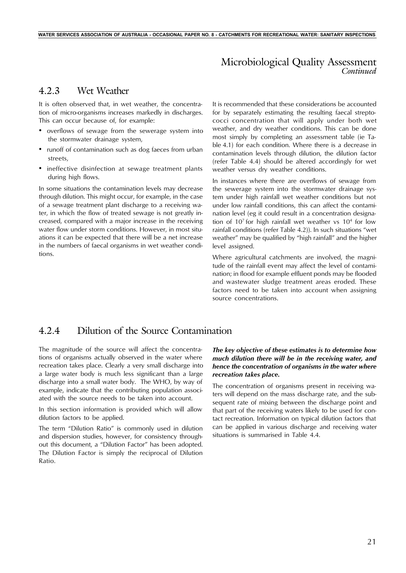## 4.2.3 Wet Weather

It is often observed that, in wet weather, the concentration of micro-organisms increases markedly in discharges. This can occur because of, for example:

- overflows of sewage from the sewerage system into the stormwater drainage system,
- runoff of contamination such as dog faeces from urban streets,
- ineffective disinfection at sewage treatment plants during high flows.

In some situations the contamination levels may decrease through dilution. This might occur, for example, in the case of a sewage treatment plant discharge to a receiving water, in which the flow of treated sewage is not greatly increased, compared with a major increase in the receiving water flow under storm conditions. However, in most situations it can be expected that there will be a net increase in the numbers of faecal organisms in wet weather conditions.

It is recommended that these considerations be accounted for by separately estimating the resulting faecal streptococci concentration that will apply under both wet weather, and dry weather conditions. This can be done most simply by completing an assessment table (ie Table 4.1) for each condition. Where there is a decrease in contamination levels through dilution, the dilution factor (refer Table 4.4) should be altered accordingly for wet weather versus dry weather conditions.

In instances where there are overflows of sewage from the sewerage system into the stormwater drainage system under high rainfall wet weather conditions but not under low rainfall conditions, this can affect the contamination level (eg it could result in a concentration designation of  $10<sup>7</sup>$  for high rainfall wet weather vs  $10<sup>4</sup>$  for low rainfall conditions (refer Table 4.2)). In such situations "wet weather" may be qualified by "high rainfall" and the higher level assigned.

Where agricultural catchments are involved, the magnitude of the rainfall event may affect the level of contamination; in flood for example effluent ponds may be flooded and wastewater sludge treatment areas eroded. These factors need to be taken into account when assigning source concentrations.

### 4.2.4 Dilution of the Source Contamination

The magnitude of the source will affect the concentrations of organisms actually observed in the water where recreation takes place. Clearly a very small discharge into a large water body is much less significant than a large discharge into a small water body. The WHO, by way of example, indicate that the contributing population associated with the source needs to be taken into account.

In this section information is provided which will allow dilution factors to be applied.

The term "Dilution Ratio" is commonly used in dilution and dispersion studies, however, for consistency throughout this document, a "Dilution Factor" has been adopted. The Dilution Factor is simply the reciprocal of Dilution Ratio.

### *The key objective of these estimates is to determine how much dilution there will be in the receiving water, and hence the concentration of organisms in the water where recreation takes place.*

The concentration of organisms present in receiving waters will depend on the mass discharge rate, and the subsequent rate of mixing between the discharge point and that part of the receiving waters likely to be used for contact recreation. Information on typical dilution factors that can be applied in various discharge and receiving water situations is summarised in Table 4.4.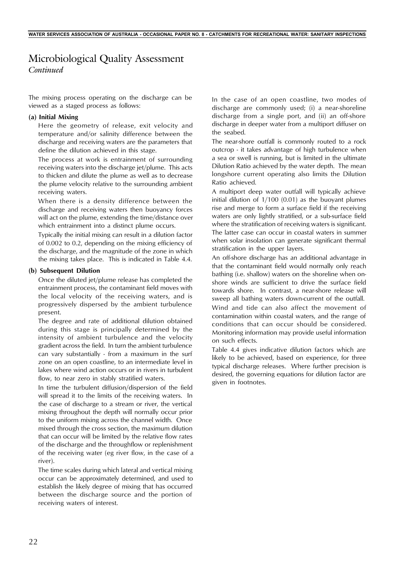The mixing process operating on the discharge can be viewed as a staged process as follows:

#### **(a) Initial Mixing**

Here the geometry of release, exit velocity and temperature and/or salinity difference between the discharge and receiving waters are the parameters that define the dilution achieved in this stage.

The process at work is entrainment of surrounding receiving waters into the discharge jet/plume. This acts to thicken and dilute the plume as well as to decrease the plume velocity relative to the surrounding ambient receiving waters.

When there is a density difference between the discharge and receiving waters then buoyancy forces will act on the plume, extending the time/distance over which entrainment into a distinct plume occurs.

Typically the initial mixing can result in a dilution factor of 0.002 to 0.2, depending on the mixing efficiency of the discharge, and the magnitude of the zone in which the mixing takes place. This is indicated in Table 4.4.

#### **(b) Subsequent Dilution**

Once the diluted jet/plume release has completed the entrainment process, the contaminant field moves with the local velocity of the receiving waters, and is progressively dispersed by the ambient turbulence present.

The degree and rate of additional dilution obtained during this stage is principally determined by the intensity of ambient turbulence and the velocity gradient across the field. In turn the ambient turbulence can vary substantially - from a maximum in the surf zone on an open coastline, to an intermediate level in lakes where wind action occurs or in rivers in turbulent flow, to near zero in stably stratified waters.

In time the turbulent diffusion/dispersion of the field will spread it to the limits of the receiving waters. In the case of discharge to a stream or river, the vertical mixing throughout the depth will normally occur prior to the uniform mixing across the channel width. Once mixed through the cross section, the maximum dilution that can occur will be limited by the relative flow rates of the discharge and the throughflow or replenishment of the receiving water (eg river flow, in the case of a river).

The time scales during which lateral and vertical mixing occur can be approximately determined, and used to establish the likely degree of mixing that has occurred between the discharge source and the portion of receiving waters of interest.

In the case of an open coastline, two modes of discharge are commonly used; (i) a near-shoreline discharge from a single port, and (ii) an off-shore discharge in deeper water from a multiport diffuser on the seabed.

The near-shore outfall is commonly routed to a rock outcrop - it takes advantage of high turbulence when a sea or swell is running, but is limited in the ultimate Dilution Ratio achieved by the water depth. The mean longshore current operating also limits the Dilution Ratio achieved.

A multiport deep water outfall will typically achieve initial dilution of 1/100 (0.01) as the buoyant plumes rise and merge to form a surface field if the receiving waters are only lightly stratified, or a sub-surface field where the stratification of receiving waters is significant. The latter case can occur in coastal waters in summer when solar insolation can generate significant thermal stratification in the upper layers.

An off-shore discharge has an additional advantage in that the contaminant field would normally only reach bathing (i.e. shallow) waters on the shoreline when onshore winds are sufficient to drive the surface field towards shore. In contrast, a near-shore release will sweep all bathing waters down-current of the outfall.

Wind and tide can also affect the movement of contamination within coastal waters, and the range of conditions that can occur should be considered. Monitoring information may provide useful information on such effects.

Table 4.4 gives indicative dilution factors which are likely to be achieved, based on experience, for three typical discharge releases. Where further precision is desired, the governing equations for dilution factor are given in footnotes.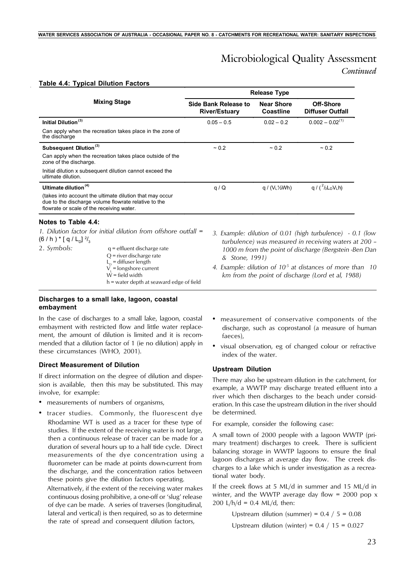## Microbiological Quality Assessment

*Continued*

#### **Table 4.4: Typical Dilution Factors**

|                                              |                                                                                                                      |                                                     | <b>Release Type</b>                   |                                                                                                                      |
|----------------------------------------------|----------------------------------------------------------------------------------------------------------------------|-----------------------------------------------------|---------------------------------------|----------------------------------------------------------------------------------------------------------------------|
|                                              | <b>Mixing Stage</b>                                                                                                  | <b>Side Bank Release to</b><br><b>River/Estuary</b> | <b>Near Shore</b><br><b>Coastline</b> | <b>Off-Shore</b><br><b>Diffuser Outfall</b>                                                                          |
| Initial Dilution <sup>(3)</sup>              |                                                                                                                      | $0.05 - 0.5$                                        | $0.02 - 0.2$                          | $0.002 - 0.02^{(1)}$                                                                                                 |
| the discharge                                | Can apply when the recreation takes place in the zone of                                                             |                                                     |                                       |                                                                                                                      |
| Subsequent Dilution <sup>(3)</sup>           |                                                                                                                      | $~1$ 0.2                                            | ~10.2                                 | ~10.2                                                                                                                |
| zone of the discharge.                       | Can apply when the recreation takes place outside of the                                                             |                                                     |                                       |                                                                                                                      |
| ultimate dilution.                           | Initial dilution x subsequent dilution cannot exceed the                                                             |                                                     |                                       |                                                                                                                      |
| Ultimate dilution $(4)$                      |                                                                                                                      | q/Q                                                 | $q / (V_L \frac{1}{2} W h)$           | q / $(^{2}/_{3}L_{D}V_{L}h)$                                                                                         |
| flowrate or scale of the receiving water.    | (takes into account the ultimate dilution that may occur<br>due to the discharge volume flowrate relative to the     |                                                     |                                       |                                                                                                                      |
| Notes to Table 4.4:                          |                                                                                                                      |                                                     |                                       |                                                                                                                      |
| $(6/h)^*$ [ q / L <sub>n</sub> ] $^{2}/_{3}$ | 1. Dilution factor for initial dilution from offshore outfall $=$                                                    |                                                     |                                       | 3. Example: dilution of 0.01 (high turbulence) - 0.1 (low<br>turbulence) was measured in receiving waters at 200 –   |
| 2. Symbols:                                  | $q =$ effluent discharge rate<br>$Q$ = river discharge rate<br>$L_{p}$ = diffuser length<br>$Vi$ = longshore current | & Stone, 1991)                                      |                                       | 1000 m from the point of discharge (Bergstein -Ben Dan<br>4. Example: dilution of $105$ at distances of more than 10 |

*4. Example: dilution of 10-5 at distances of more than 10 km from the point of discharge (Lord et al, 1988)*

#### **Discharges to a small lake, lagoon, coastal embayment**

In the case of discharges to a small lake, lagoon, coastal embayment with restricted flow and little water replacement, the amount of dilution is limited and it is recommended that a dilution factor of 1 (ie no dilution) apply in these circumstances (WHO, 2001).

 $W =$  field width

h = water depth at seaward edge of field

#### **Direct Measurement of Dilution**

If direct information on the degree of dilution and dispersion is available, then this may be substituted. This may involve, for example:

- measurements of numbers of organisms,
- tracer studies. Commonly, the fluorescent dye Rhodamine WT is used as a tracer for these type of studies. If the extent of the receiving water is not large, then a continuous release of tracer can be made for a duration of several hours up to a half tide cycle. Direct measurements of the dye concentration using a fluorometer can be made at points down-current from the discharge, and the concentration ratios between these points give the dilution factors operating.

Alternatively, if the extent of the receiving water makes continuous dosing prohibitive, a one-off or 'slug' release of dye can be made. A series of traverses (longitudinal, lateral and vertical) is then required, so as to determine the rate of spread and consequent dilution factors,

- measurement of conservative components of the discharge, such as coprostanol (a measure of human faeces),
- visual observation, eg of changed colour or refractive index of the water.

#### **Upstream Dilution**

There may also be upstream dilution in the catchment, for example, a WWTP may discharge treated effluent into a river which then discharges to the beach under consideration. In this case the upstream dilution in the river should be determined.

For example, consider the following case:

A small town of 2000 people with a lagoon WWTP (primary treatment) discharges to creek. There is sufficient balancing storage in WWTP lagoons to ensure the final lagoon discharges at average day flow. The creek discharges to a lake which is under investigation as a recreational water body.

If the creek flows at 5 ML/d in summer and 15 ML/d in winter, and the WWTP average day flow = 2000 pop  $x$ 200 L/h/d = 0.4 ML/d, then:

> Upstream dilution (summer) =  $0.4 / 5 = 0.08$ Upstream dilution (winter) =  $0.4 / 15 = 0.027$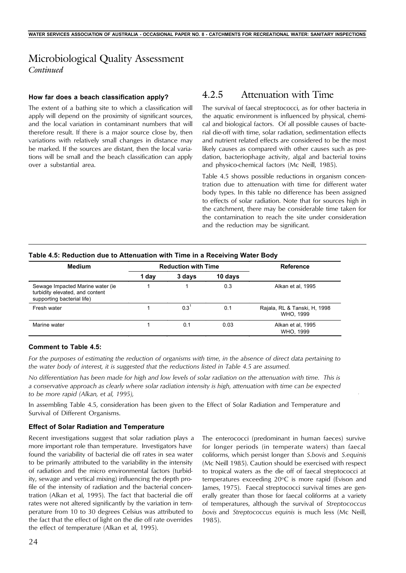#### **How far does a beach classification apply?**

The extent of a bathing site to which a classification will apply will depend on the proximity of significant sources, and the local variation in contaminant numbers that will therefore result. If there is a major source close by, then variations with relatively small changes in distance may be marked. If the sources are distant, then the local variations will be small and the beach classification can apply over a substantial area.

## 4.2.5 Attenuation with Time

The survival of faecal streptococci, as for other bacteria in the aquatic environment is influenced by physical, chemical and biological factors. Of all possible causes of bacterial die-off with time, solar radiation, sedimentation effects and nutrient related effects are considered to be the most likely causes as compared with other causes such as predation, bacteriophage activity, algal and bacterial toxins and physico-chemical factors (Mc Neill, 1985).

Table 4.5 shows possible reductions in organism concentration due to attenuation with time for different water body types. In this table no difference has been assigned to effects of solar radiation. Note that for sources high in the catchment, there may be considerable time taken for the contamination to reach the site under consideration and the reduction may be significant.

| <b>Medium</b>                                                                                      | <b>Reduction with Time</b> |        |         | <b>Reference</b>                          |  |
|----------------------------------------------------------------------------------------------------|----------------------------|--------|---------|-------------------------------------------|--|
|                                                                                                    | 1 day                      | 3 days | 10 days |                                           |  |
| Sewage Impacted Marine water (ie.<br>turbidity elevated, and content<br>supporting bacterial life) |                            |        | 0.3     | Alkan et al, 1995                         |  |
| Fresh water                                                                                        |                            | 0.3    | 0.1     | Rajala, RL & Tanski, H, 1998<br>WHO. 1999 |  |
| Marine water                                                                                       |                            | 0.1    | 0.03    | Alkan et al, 1995<br>WHO. 1999            |  |

### **Table 4.5: Reduction due to Attenuation with Time in a Receiving Water Body**

#### **Comment to Table 4.5:**

*For the purposes of estimating the reduction of organisms with time, in the absence of direct data pertaining to the water body of interest, it is suggested that the reductions listed in Table 4.5 are assumed.*

*No differentiation has been made for high and low levels of solar radiation on the attenuation with time. This is a conservative approach as clearly where solar radiation intensity is high, attenuation with time can be expected to be more rapid (Alkan, et al, 1995),*

In assembling Table 4.5, consideration has been given to the Effect of Solar Radiation and Temperature and Survival of Different Organisms.

#### **Effect of Solar Radiation and Temperature**

Recent investigations suggest that solar radiation plays a more important role than temperature. Investigators have found the variability of bacterial die off rates in sea water to be primarily attributed to the variability in the intensity of radiation and the micro environmental factors (turbidity, sewage and vertical mixing) influencing the depth profile of the intensity of radiation and the bacterial concentration (Alkan et al, 1995). The fact that bacterial die off rates were not altered significantly by the variation in temperature from 10 to 30 degrees Celsius was attributed to the fact that the effect of light on the die off rate overrides the effect of temperature (Alkan et al, 1995).

The enterococci (predominant in human faeces) survive for longer periods (in temperate waters) than faecal coliforms, which persist longer than *S.bovis* and *S.equinis* (Mc Neill 1985). Caution should be exercised with respect to tropical waters as the die off of faecal streptococci at temperatures exceeding 20°C is more rapid (Evison and James, 1975). Faecal streptococci survival times are generally greater than those for faecal coliforms at a variety of temperatures, although the survival of *Streptococcus bovis* and *Streptococcus equinis* is much less (Mc Neill, 1985).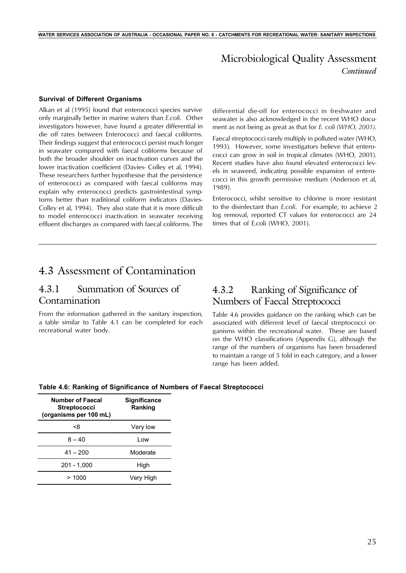#### **Survival of Different Organisms**

Alkan et al (1995) found that enterococci species survive only marginally better in marine waters than *E.coli*. Other investigators however, have found a greater differential in die off rates between Enterococci and faecal coliforms. Their findings suggest that enterococci persist much longer in seawater compared with faecal coliforms because of both the broader shoulder on inactivation curves and the lower inactivation coefficient (Davies- Colley et al, 1994). These researchers further hypothesise that the persistence of enterococci as compared with faecal coliforms may explain why enterococci predicts gastrointestinal symptoms better than traditional coliform indicators (Davies-Colley et al, 1994). They also state that it is more difficult to model enterococci inactivation in seawater receiving effluent discharges as compared with faecal coliforms. The

differential die-off for enterococci in freshwater and seawater is also acknowledged in the recent WHO document as not being as great as that for *E. coli (WHO, 2001)*.

Faecal streptococci rarely multiply in polluted water (WHO, 1993). However, some investigators believe that enterococci can grow in soil in tropical climates (WHO, 2001). Recent studies have also found elevated enterococci levels in seaweed, indicating possible expansion of enterococci in this growth permissive medium (Anderson et al, 1989).

Enterococci, whilst sensitive to chlorine is more resistant to the disinfectant than *E.coli*. For example, to achieve 2 log removal, reported CT values for enterococci are 24 times that of E.coli (WHO, 2001).

## 4.3 Assessment of Contamination

## 4.3.1 Summation of Sources of Contamination

From the information gathered in the sanitary inspection, a table similar to Table 4.1 can be completed for each recreational water body.

## 4.3.2 Ranking of Significance of Numbers of Faecal Streptococci

Table 4.6 provides guidance on the ranking which can be associated with different level of faecal streptococci organisms within the recreational water. These are based on the WHO classifications (Appendix G), although the range of the numbers of organisms has been broadened to maintain a range of 5 fold in each category, and a lower range has been added.

| <b>Number of Faecal</b><br><b>Streptococci</b><br>(organisms per 100 mL) | <b>Significance</b><br>Ranking |
|--------------------------------------------------------------------------|--------------------------------|
| <8                                                                       | Very low                       |
| $8 - 40$                                                                 | l ow                           |
| $41 - 200$                                                               | Moderate                       |
| $201 - 1,000$                                                            | High                           |
| > 1000                                                                   | Very High                      |

**Table 4.6: Ranking of Significance of Numbers of Faecal Streptococci**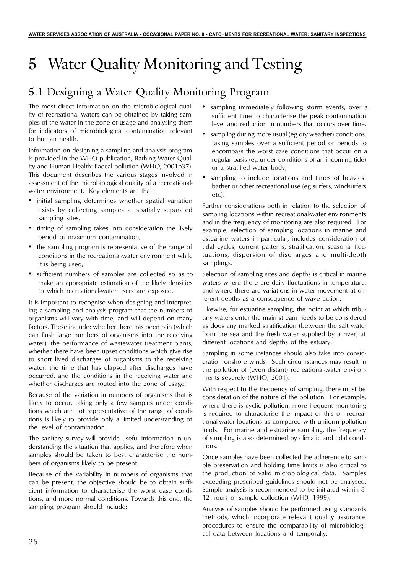# 5 Water Quality Monitoring and Testing

# 5.1 Designing a Water Quality Monitoring Program

The most direct information on the microbiological quality of recreational waters can be obtained by taking samples of the water in the zone of usage and analysing them for indicators of microbiological contamination relevant to human health.

Information on designing a sampling and analysis program is provided in the WHO publication, Bathing Water Quality and Human Health: Faecal pollution (WHO, 2001p37). This document describes the various stages involved in assessment of the microbiological quality of a recreationalwater environment. Key elements are that:

- initial sampling determines whether spatial variation exists by collecting samples at spatially separated sampling sites,
- timing of sampling takes into consideration the likely period of maximum contamination,
- the sampling program is representative of the range of conditions in the recreational-water environment while it is being used,
- sufficient numbers of samples are collected so as to make an appropriate estimation of the likely densities to which recreational-water users are exposed.

It is important to recognise when designing and interpreting a sampling and analysis program that the numbers of organisms will vary with time, and will depend on many factors. These include: whether there has been rain (which can flush large numbers of organisms into the receiving water), the performance of wastewater treatment plants, whether there have been upset conditions which give rise to short lived discharges of organisms to the receiving water, the time that has elapsed after discharges have occurred, and the conditions in the receiving water and whether discharges are routed into the zone of usage.

Because of the variation in numbers of organisms that is likely to occur, taking only a few samples under conditions which are not representative of the range of conditions is likely to provide only a limited understanding of the level of contamination.

The sanitary survey will provide useful information in understanding the situation that applies, and therefore when samples should be taken to best characterise the numbers of organisms likely to be present.

Because of the variability in numbers of organisms that can be present, the objective should be to obtain sufficient information to characterise the worst case conditions, and more normal conditions. Towards this end, the sampling program should include:

- sampling immediately following storm events, over a sufficient time to characterise the peak contamination level and reduction in numbers that occurs over time,
- sampling during more usual (eg dry weather) conditions, taking samples over a sufficient period or periods to encompass the worst case conditions that occur on a regular basis (eg under conditions of an incoming tide) or a stratified water body,
- sampling to include locations and times of heaviest bather or other recreational use (eg surfers, windsurfers  $eta$

Further considerations both in relation to the selection of sampling locations within recreational-water environments and in the frequency of monitoring are also required. For example, selection of sampling locations in marine and estuarine waters in particular, includes consideration of tidal cycles, current patterns, stratification, seasonal fluctuations, dispersion of discharges and multi-depth samplings.

Selection of sampling sites and depths is critical in marine waters where there are daily fluctuations in temperature, and where there are variations in water movement at different depths as a consequence of wave action.

Likewise, for estuarine sampling, the point at which tributary waters enter the main stream needs to be considered as does any marked stratification (between the salt water from the sea and the fresh water supplied by a river) at different locations and depths of the estuary.

Sampling in some instances should also take into consideration onshore winds. Such circumstances may result in the pollution of (even distant) recreational-water environments severely (WHO, 2001).

With respect to the frequency of sampling, there must be consideration of the nature of the pollution. For example, where there is cyclic pollution, more frequent monitoring is required to characterise the impact of this on recreational-water locations as compared with uniform pollution loads. For marine and estuarine sampling, the frequency of sampling is also determined by climatic and tidal conditions.

Once samples have been collected the adherence to sample preservation and holding time limits is also critical to the production of valid microbiological data. Samples exceeding prescribed guidelines should not be analysed. Sample analysis is recommended to be initiated within 8- 12 hours of sample collection (WH0, 1999).

Analysis of samples should be performed using standards methods, which incorporate relevant quality assurance procedures to ensure the comparability of microbiological data between locations and temporally.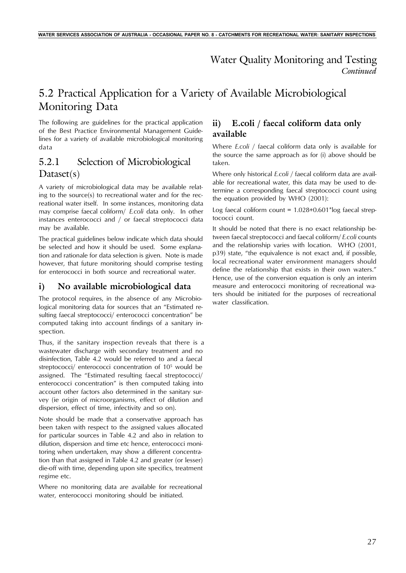## *Continued* Water Quality Monitoring and Testing

## 5.2 Practical Application for a Variety of Available Microbiological Monitoring Data

The following are guidelines for the practical application of the Best Practice Environmental Management Guidelines for a variety of available microbiological monitoring data

## 5.2.1 Selection of Microbiological Dataset(s)

A variety of microbiological data may be available relating to the source(s) to recreational water and for the recreational water itself. In some instances, monitoring data may comprise faecal coliform/ *E.coli* data only. In other instances enterococci and / or faecal streptococci data may be available.

The practical guidelines below indicate which data should be selected and how it should be used. Some explanation and rationale for data selection is given. Note is made however, that future monitoring should comprise testing for enterococci in both source and recreational water.

### **i) No available microbiological data**

The protocol requires, in the absence of any Microbiological monitoring data for sources that an "Estimated resulting faecal streptococci/ enterococci concentration" be computed taking into account findings of a sanitary inspection.

Thus, if the sanitary inspection reveals that there is a wastewater discharge with secondary treatment and no disinfection, Table 4.2 would be referred to and a faecal streptococci/ enterococci concentration of 10<sup>5</sup> would be assigned. The "Estimated resulting faecal streptococci/ enterococci concentration" is then computed taking into account other factors also determined in the sanitary survey (ie origin of microorganisms, effect of dilution and dispersion, effect of time, infectivity and so on).

Note should be made that a conservative approach has been taken with respect to the assigned values allocated for particular sources in Table 4.2 and also in relation to dilution, dispersion and time etc hence, enterococci monitoring when undertaken, may show a different concentration than that assigned in Table 4.2 and greater (or lesser) die-off with time, depending upon site specifics, treatment regime etc.

Where no monitoring data are available for recreational water, enterococci monitoring should be initiated.

## **ii) E.coli / faecal coliform data only available**

Where *E.coli* / faecal coliform data only is available for the source the same approach as for (i) above should be taken.

Where only historical *E.coli* / faecal coliform data are available for recreational water, this data may be used to determine a corresponding faecal streptococci count using the equation provided by WHO (2001):

Log faecal coliform count =  $1.028+0.601*$ log faecal streptococci count.

It should be noted that there is no exact relationship between faecal streptococci and faecal coliform/ *E.coli* counts and the relationship varies with location. WHO (2001, p39) state, "the equivalence is not exact and, if possible, local recreational water environment managers should define the relationship that exists in their own waters." Hence, use of the conversion equation is only an interim measure and enterococci monitoring of recreational waters should be initiated for the purposes of recreational water classification.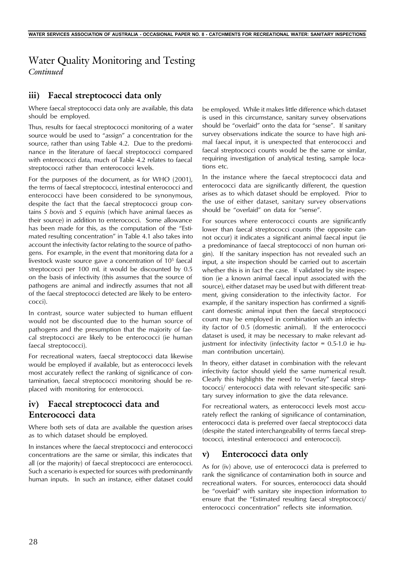## *Continued* Water Quality Monitoring and Testing

## **iii) Faecal streptococci data only**

Where faecal streptococci data only are available, this data should be employed.

Thus, results for faecal streptococci monitoring of a water source would be used to "assign" a concentration for the source, rather than using Table 4.2. Due to the predominance in the literature of faecal streptococci compared with enterococci data, much of Table 4.2 relates to faecal streptococci rather than enterococci levels.

For the purposes of the document, as for WHO (2001), the terms of faecal streptococci, intestinal enterococci and enterococci have been considered to be synonymous, despite the fact that the faecal streptococci group contains *S bovis* and *S equinis* (which have animal faeces as their source) in addition to enterococci. Some allowance has been made for this, as the computation of the "Estimated resulting concentration" in Table 4.1 also takes into account the infectivity factor relating to the source of pathogens. For example, in the event that monitoring data for a livestock waste source gave a concentration of 10<sup>5</sup> faecal streptococci per 100 mL it would be discounted by 0.5 on the basis of infectivity (this assumes that the source of pathogens are animal and indirectly assumes that not all of the faecal streptococci detected are likely to be enterococci).

In contrast, source water subjected to human effluent would not be discounted due to the human source of pathogens and the presumption that the majority of faecal streptococci are likely to be enterococci (ie human faecal streptococci).

For recreational waters, faecal streptococci data likewise would be employed if available, but as enterococci levels most accurately reflect the ranking of significance of contamination, faecal streptococci monitoring should be replaced with monitoring for enterococci.

## **iv) Faecal streptococci data and Enterococci data**

Where both sets of data are available the question arises as to which dataset should be employed.

In instances where the faecal streptococci and enterococci concentrations are the same or similar, this indicates that all (or the majority) of faecal streptococci are enterococci. Such a scenario is expected for sources with predominantly human inputs. In such an instance, either dataset could be employed. While it makes little difference which dataset is used in this circumstance, sanitary survey observations should be "overlaid" onto the data for "sense". If sanitary survey observations indicate the source to have high animal faecal input, it is unexpected that enterococci and faecal streptococci counts would be the same or similar, requiring investigation of analytical testing, sample locations etc.

In the instance where the faecal streptococci data and enterococci data are significantly different, the question arises as to which dataset should be employed. Prior to the use of either dataset, sanitary survey observations should be "overlaid" on data for "sense".

For sources where enterococci counts are significantly lower than faecal streptococci counts (the opposite cannot occur) it indicates a significant animal faecal input (ie a predominance of faecal streptococci of non human origin). If the sanitary inspection has not revealed such an input, a site inspection should be carried out to ascertain whether this is in fact the case. If validated by site inspection (ie a known animal faecal input associated with the source), either dataset may be used but with different treatment, giving consideration to the infectivity factor. For example, if the sanitary inspection has confirmed a significant domestic animal input then the faecal streptococci count may be employed in combination with an infectivity factor of 0.5 (domestic animal). If the enterococci dataset is used, it may be necessary to make relevant adjustment for infectivity (infectivity factor =  $0.5$ -1.0 ie human contribution uncertain).

In theory, either dataset in combination with the relevant infectivity factor should yield the same numerical result. Clearly this highlights the need to "overlay" faecal streptococci/ enterococci data with relevant site-specific sanitary survey information to give the data relevance.

For recreational waters, as enterococci levels most accurately reflect the ranking of significance of contamination, enterococci data is preferred over faecal streptococci data (despite the stated interchangeability of terms faecal streptococci, intestinal enterococci and enterococci).

### **v) Enterococci data only**

As for (iv) above, use of enterococci data is preferred to rank the significance of contamination both in source and recreational waters. For sources, enterococci data should be "overlaid" with sanitary site inspection information to ensure that the "Estimated resulting faecal streptococci/ enterococci concentration" reflects site information.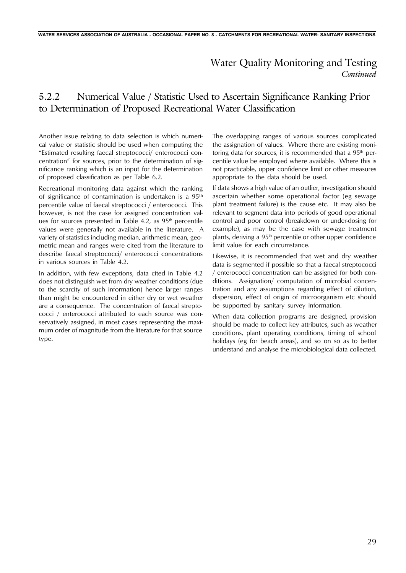## *Continued* Water Quality Monitoring and Testing

## 5.2.2 Numerical Value / Statistic Used to Ascertain Significance Ranking Prior to Determination of Proposed Recreational Water Classification

Another issue relating to data selection is which numerical value or statistic should be used when computing the "Estimated resulting faecal streptococci/ enterococci concentration" for sources, prior to the determination of significance ranking which is an input for the determination of proposed classification as per Table 6.2.

Recreational monitoring data against which the ranking of significance of contamination is undertaken is a 95<sup>th</sup> percentile value of faecal streptococci / enterococci. This however, is not the case for assigned concentration values for sources presented in Table 4.2, as  $95<sup>th</sup>$  percentile values were generally not available in the literature. A variety of statistics including median, arithmetic mean, geometric mean and ranges were cited from the literature to describe faecal streptococci/ enterococci concentrations in various sources in Table 4.2.

In addition, with few exceptions, data cited in Table 4.2 does not distinguish wet from dry weather conditions (due to the scarcity of such information) hence larger ranges than might be encountered in either dry or wet weather are a consequence. The concentration of faecal streptococci / enterococci attributed to each source was conservatively assigned, in most cases representing the maximum order of magnitude from the literature for that source type.

The overlapping ranges of various sources complicated the assignation of values. Where there are existing monitoring data for sources, it is recommended that a  $95<sup>th</sup>$  percentile value be employed where available. Where this is not practicable, upper confidence limit or other measures appropriate to the data should be used.

If data shows a high value of an outlier, investigation should ascertain whether some operational factor (eg sewage plant treatment failure) is the cause etc. It may also be relevant to segment data into periods of good operational control and poor control (breakdown or under-dosing for example), as may be the case with sewage treatment plants, deriving a  $95<sup>th</sup>$  percentile or other upper confidence limit value for each circumstance.

Likewise, it is recommended that wet and dry weather data is segmented if possible so that a faecal streptococci / enterococci concentration can be assigned for both conditions. Assignation/ computation of microbial concentration and any assumptions regarding effect of dilution, dispersion, effect of origin of microorganism etc should be supported by sanitary survey information.

When data collection programs are designed, provision should be made to collect key attributes, such as weather conditions, plant operating conditions, timing of school holidays (eg for beach areas), and so on so as to better understand and analyse the microbiological data collected.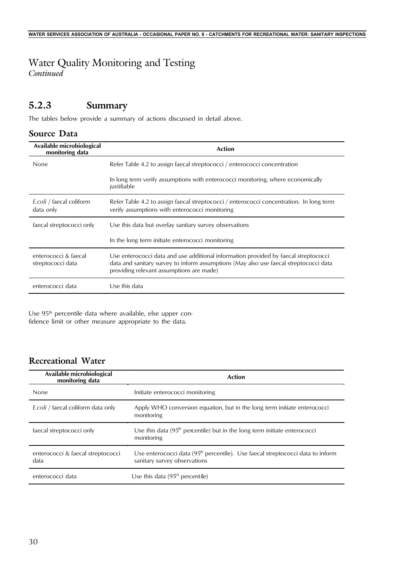# Water Quality Monitoring and Testing

*Continued*

## **5.2.3 Summary**

The tables below provide a summary of actions discussed in detail above.

### **Source Data**

| Available microbiological<br>monitoring data | <b>Action</b>                                                                                                                                                                                                            |
|----------------------------------------------|--------------------------------------------------------------------------------------------------------------------------------------------------------------------------------------------------------------------------|
| None                                         | Refer Table 4.2 to assign faecal streptococci / enterococci concentration                                                                                                                                                |
|                                              | In long term verify assumptions with enterococci monitoring, where economically<br>justifiable                                                                                                                           |
| E.coli / faecal coliform<br>data only        | Refer Table 4.2 to assign faecal streptococci / enterococci concentration. In long term<br>verify assumptions with enterococci monitoring                                                                                |
| faecal streptococci only                     | Use this data but overlay sanitary survey observations                                                                                                                                                                   |
|                                              | In the long term initiate enterococci monitoring                                                                                                                                                                         |
| enterococci & faecal<br>streptococci data    | Use enterococci data and use additional information provided by faecal streptococci<br>data and sanitary survey to inform assumptions (May also use faecal streptococci data<br>providing relevant assumptions are made) |
| enterococci data                             | Use this data                                                                                                                                                                                                            |

Use 95<sup>th</sup> percentile data where available, else upper confidence limit or other measure appropriate to the data.

## **Recreational Water**

| Available microbiological<br>monitoring data | <b>Action</b>                                                                                                              |
|----------------------------------------------|----------------------------------------------------------------------------------------------------------------------------|
| None                                         | Initiate enterococci monitoring                                                                                            |
| E.coli / faecal coliform data only           | Apply WHO conversion equation, but in the long term initiate enterococci<br>monitoring                                     |
| faecal streptococci only                     | Use this data $(95th$ percentile) but in the long term initiate enterococci<br>monitoring                                  |
| enterococci & faecal streptococci<br>data    | Use enterococci data (95 <sup>th</sup> percentile). Use faecal streptococci data to inform<br>sanitary survey observations |
| enterococci data                             | Use this data $(95th$ percentile)                                                                                          |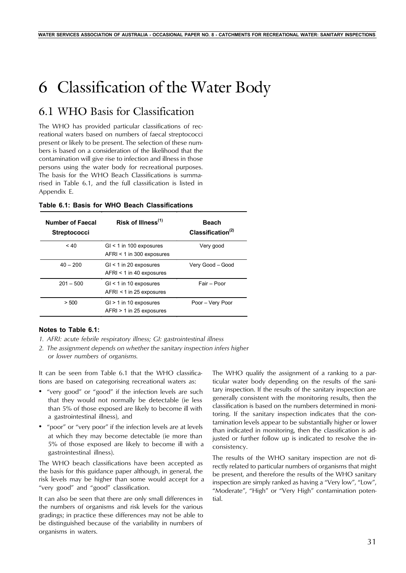# 6 Classification of the Water Body

## 6.1 WHO Basis for Classification

The WHO has provided particular classifications of recreational waters based on numbers of faecal streptococci present or likely to be present. The selection of these numbers is based on a consideration of the likelihood that the contamination will give rise to infection and illness in those persons using the water body for recreational purposes. The basis for the WHO Beach Classifications is summarised in Table 6.1, and the full classification is listed in Appendix E.

| <b>Number of Faecal</b><br><b>Streptococci</b> | Risk of Illness <sup>(1)</sup>                           | <b>Beach</b><br>Classification $(2)$ |
|------------------------------------------------|----------------------------------------------------------|--------------------------------------|
| ~< 40                                          | $GI < 1$ in 100 exposures<br>$AFRI < 1$ in 300 exposures | Very good                            |
| $40 - 200$                                     | $GI < 1$ in 20 exposures<br>$AFRI < 1$ in 40 exposures   | Very Good - Good                     |
| $201 - 500$                                    | $GI < 1$ in 10 exposures<br>$AFRI < 1$ in 25 exposures   | Fair - Poor                          |
| > 500                                          | $GI > 1$ in 10 exposures<br>$AFRI > 1$ in 25 exposures   | Poor - Very Poor                     |

|  |  |  |  |  |  | Table 6.1: Basis for WHO Beach Classifications |
|--|--|--|--|--|--|------------------------------------------------|
|--|--|--|--|--|--|------------------------------------------------|

#### **Notes to Table 6.1:**

- *1. AFRI: acute febrile respiratory illness; GI: gastrointestinal illness*
- *2. The assignment depends on whether the sanitary inspection infers higher or lower numbers of organisms.*

It can be seen from Table 6.1 that the WHO classifications are based on categorising recreational waters as:

- "very good" or "good" if the infection levels are such that they would not normally be detectable (ie less than 5% of those exposed are likely to become ill with a gastrointestinal illness), and
- "poor" or "very poor" if the infection levels are at levels at which they may become detectable (ie more than 5% of those exposed are likely to become ill with a gastrointestinal illness).

The WHO beach classifications have been accepted as the basis for this guidance paper although, in general, the risk levels may be higher than some would accept for a "very good" and "good" classification.

It can also be seen that there are only small differences in the numbers of organisms and risk levels for the various gradings; in practice these differences may not be able to be distinguished because of the variability in numbers of organisms in waters.

The WHO qualify the assignment of a ranking to a particular water body depending on the results of the sanitary inspection. If the results of the sanitary inspection are generally consistent with the monitoring results, then the classification is based on the numbers determined in monitoring. If the sanitary inspection indicates that the contamination levels appear to be substantially higher or lower than indicated in monitoring, then the classification is adjusted or further follow up is indicated to resolve the inconsistency.

The results of the WHO sanitary inspection are not directly related to particular numbers of organisms that might be present, and therefore the results of the WHO sanitary inspection are simply ranked as having a "Very low", "Low", "Moderate", "High" or "Very High" contamination potential.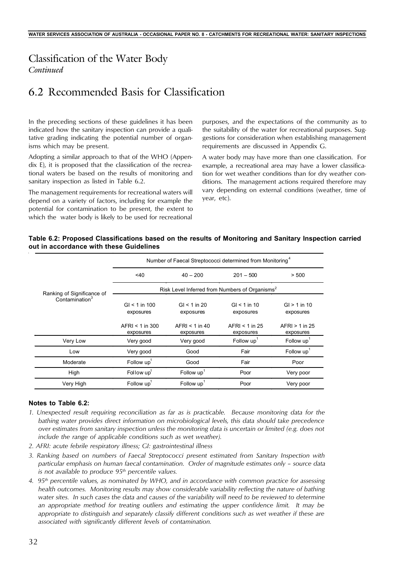## *Continued* Classification of the Water Body

## 6.2 Recommended Basis for Classification

In the preceding sections of these guidelines it has been indicated how the sanitary inspection can provide a qualitative grading indicating the potential number of organisms which may be present.

Adopting a similar approach to that of the WHO (Appendix E), it is proposed that the classification of the recreational waters be based on the results of monitoring and sanitary inspection as listed in Table 6.2.

The management requirements for recreational waters will depend on a variety of factors, including for example the potential for contamination to be present, the extent to which the water body is likely to be used for recreational

purposes, and the expectations of the community as to the suitability of the water for recreational purposes. Suggestions for consideration when establishing management requirements are discussed in Appendix G.

A water body may have more than one classification. For example, a recreational area may have a lower classification for wet weather conditions than for dry weather conditions. The management actions required therefore may vary depending on external conditions (weather, time of year, etc).

### **Table 6.2: Proposed Classifications based on the results of Monitoring and Sanitary Inspection carried out in accordance with these Guidelines**

|                            | Number of Faecal Streptococci determined from Monitoring <sup>4</sup> |                                                            |                               |                               |  |  |
|----------------------------|-----------------------------------------------------------------------|------------------------------------------------------------|-------------------------------|-------------------------------|--|--|
|                            | 40                                                                    | $40 - 200$                                                 | $201 - 500$                   | > 500                         |  |  |
| Ranking of Significance of |                                                                       | Risk Level Inferred from Numbers of Organisms <sup>2</sup> |                               |                               |  |  |
| Contamination <sup>3</sup> | $GI < 1$ in 100<br>exposures                                          | $GI < 1$ in 20<br>exposures                                | $GI < 1$ in 10<br>exposures   | $GI > 1$ in 10<br>exposures   |  |  |
|                            | $AFRI < 1$ in 300<br>exposures                                        | $AFRI < 1$ in 40<br>exposures                              | $AFRI < 1$ in 25<br>exposures | $AFRI > 1$ in 25<br>exposures |  |  |
| Very Low                   | Very good                                                             | Very good                                                  | Follow up                     | Follow up <sup>1</sup>        |  |  |
| Low                        | Very good                                                             | Good                                                       | Fair                          | Follow up <sup>1</sup>        |  |  |
| Moderate                   | Follow up                                                             | Good                                                       | Fair                          | Poor                          |  |  |
| High                       | Follow $up1$                                                          | Follow $up1$                                               | Poor                          | Very poor                     |  |  |
| Very High                  | Follow up <sup>1</sup>                                                | Follow up <sup>1</sup>                                     | Poor                          | Very poor                     |  |  |

#### **Notes to Table 6.2:**

- *1. Unexpected result requiring reconciliation as far as is practicable. Because monitoring data for the bathing water provides direct information on microbiological levels, this data should take precedence over estimates from sanitary inspection unless the monitoring data is uncertain or limited (e.g. does not include the range of applicable conditions such as wet weather).*
- *2. AFRI: acute febrile respiratory illness; GI: gastrointestinal illness*
- *3. Ranking based on numbers of Faecal Streptococci present estimated from Sanitary Inspection with particular emphasis on human faecal contamination. Order of magnitude estimates only – source data is not available to produce 95th percentile values.*
- *4. 95th percentile values, as nominated by WHO, and in accordance with common practice for assessing health outcomes. Monitoring results may show considerable variability reflecting the nature of bathing water sites. In such cases the data and causes of the variability will need to be reviewed to determine an appropriate method for treating outliers and estimating the upper confidence limit. It may be appropriate to distinguish and separately classify different conditions such as wet weather if these are associated with significantly different levels of contamination.*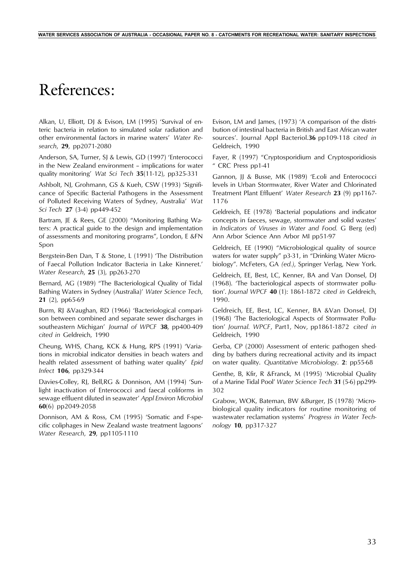# References:

Alkan, U, Elliott, DJ & Evison, LM (1995) 'Survival of enteric bacteria in relation to simulated solar radiation and other environmental factors in marine waters' *Water Research*, **29**, pp2071-2080

Anderson, SA, Turner, SJ & Lewis, GD (1997) 'Enterococci in the New Zealand environment – implications for water quality monitoring' *Wat Sci Tech* **35**(11-12), pp325-331

Ashbolt, NJ, Grohmann, GS & Kueh, CSW (1993) 'Significance of Specific Bacterial Pathogens in the Assessment of Polluted Receiving Waters of Sydney, Australia' *Wat Sci Tech* **27** (3-4) pp449-452

Bartram, JE & Rees, GE (2000) "Monitoring Bathing Waters: A practical guide to the design and implementation of assessments and monitoring programs", London, E &FN Spon

Bergstein-Ben Dan, T & Stone, L (1991) 'The Distribution of Faecal Pollution Indicator Bacteria in Lake Kinneret.' *Water Research*, **25** (3), pp263-270

Bernard, AG (1989) "The Bacteriological Quality of Tidal Bathing Waters in Sydney (Australia)' *Water Science Tech*, **21** (2), pp65-69

Burm, RJ &Vaughan, RD (1966) 'Bacteriological comparison between combined and separate sewer discharges in southeastern Michigan' *Journal of WPCF* **38**, pp400-409 *cited in* Geldreich, 1990

Cheung, WHS, Chang, KCK & Hung, RPS (1991) 'Variations in microbial indicator densities in beach waters and health related assessment of bathing water quality' *Epid Infect* **106**, pp329-344

Davies-Colley, RJ, Bell,RG & Donnison, AM (1994) 'Sunlight inactivation of Enterococci and faecal coliforms in sewage effluent diluted in seawater' *Appl Environ Microbiol* **60**(6) pp2049-2058

Donnison, AM & Ross, CM (1995) 'Somatic and F-specific coliphages in New Zealand waste treatment lagoons' *Water Research*, **29**, pp1105-1110

Evison, LM and James, (1973) 'A comparison of the distribution of intestinal bacteria in British and East African water sources'. Journal Appl Bacteriol.**36** pp109-118 *cited in* Geldreich, 1990

Fayer, R (1997) "Cryptosporidium and Cryptosporidiosis " CRC Press pp1-41

Gannon, JJ & Busse, MK (1989) 'E.coli and Enterococci levels in Urban Stormwater, River Water and Chlorinated Treatment Plant Effluent' *Water Research* **23** (9) pp1167- 1176

Geldreich, EE (1978) 'Bacterial populations and indicator concepts in faeces, sewage, stormwater and solid wastes' in *Indicators of Viruses in Water and Food.* G Berg (ed) Ann Arbor Science Ann Arbor MI pp51-97

Geldreich, EE (1990) "Microbiological quality of source waters for water supply" p3-31, in "Drinking Water Microbiology". McFeters, GA *(ed.)*, Springer Verlag, New York.

Geldreich, EE, Best, LC, Kenner, BA and Van Donsel, DJ (1968). 'The bacteriological aspects of stormwater pollution'. *Journal WPCF* **40** (1): 1861-1872 *cited in* Geldreich, 1990.

Geldreich, EE, Best, LC, Kenner, BA &Van Donsel, DJ (1968) 'The Bacteriological Aspects of Stormwater Pollution' *Journal. WPCF*, Part1, Nov, pp1861-1872 *cited in* Geldreich, 1990

Gerba, CP (2000) Assessment of enteric pathogen shedding by bathers during recreational activity and its impact on water quality. *Quantitative Microbiology*. **2**: pp55-68

Genthe, B, Kfir, R &Franck, M (1995) 'Microbial Quality of a Marine Tidal Pool' *Water Science Tech* **31** (5-6) pp299- 302

Grabow, WOK, Bateman, BW &Burger, JS (1978) 'Microbiological quality indicators for routine monitoring of wastewater reclamation systems' *Progress in Water Technology* **10**, pp317-327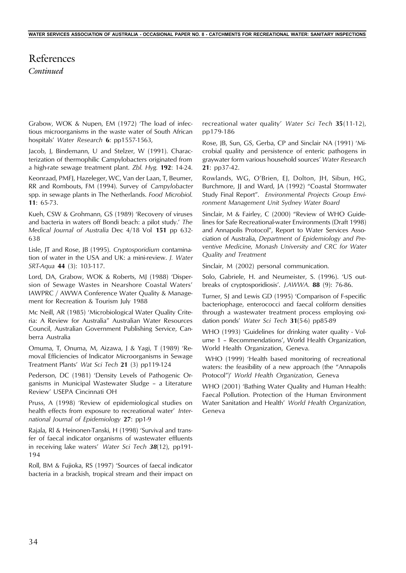## *Continued* References

Grabow, WOK & Nupen, EM (1972) 'The load of infectious microorganisms in the waste water of South African hospitals' *Water Research* **6**: pp1557-1563,

Jacob, J, Bindemann, U and Stelzer, W (1991). Characterization of thermophilic Campylobacters originated from a high-rate sewage treatment plant. *Zbl. Hyg.* **192**: 14-24.

Keonraad, PMFJ, Hazeleger, WC, Van der Laan, T, Beumer, RR and Rombouts, FM (1994). Survey of *Campylobacter* spp. in sewage plants in The Netherlands. *Food Microbiol*. **11**: 65-73.

Kueh, CSW & Grohmann, GS (1989) 'Recovery of viruses and bacteria in waters off Bondi beach: a pilot study.' *The Medical Journal of Australia* Dec 4/18 Vol **151** pp 632- 638

Lisle, JT and Rose, JB (1995). *Cryptosporidium* contamination of water in the USA and UK: a mini-review. *J. Water SRT-Aqua* **44** (3): 103-117.

Lord, DA, Grabow, WOK & Roberts, MJ (1988) 'Dispersion of Sewage Wastes in Nearshore Coastal Waters' IAWPRC / AWWA Conference Water Quality & Management for Recreation & Tourism July 1988

Mc Neill, AR (1985) 'Microbiological Water Quality Criteria: A Review for Australia" Australian Water Resources Council, Australian Government Publishing Service, Canberra Australia

Omuma, T, Onuma, M, Aizawa, J & Yagi, T (1989) 'Removal Efficiencies of Indicator Microorganisms in Sewage Treatment Plants' *Wat Sci Tech* **21** (3) pp119-124

Pederson, DC (1981) 'Density Levels of Pathogenic Organisms in Municipal Wastewater Sludge – a Literature Review' USEPA Cincinnati OH

Pruss, A (1998) 'Review of epidemiological studies on health effects from exposure to recreational water' *International Journal of Epidemiology* **27**: pp1-9

Rajala, Rl & Heinonen-Tanski, H (1998) 'Survival and transfer of faecal indicator organisms of wastewater effluents in receiving lake waters' *Water Sci Tech 38*(12), pp191- 194

Roll, BM & Fujioka, RS (1997) 'Sources of faecal indicator bacteria in a brackish, tropical stream and their impact on recreational water quality' *Water Sci Tech* **35**(11-12), pp179-186

Rose, JB, Sun, GS, Gerba, CP and Sinclair NA (1991) 'Microbial quality and persistence of enteric pathogens in graywater form various household sources' *Water Research* **21**: pp37-42.

Rowlands, WG, O'Brien, EJ, Dolton, JH, Sibun, HG, Burchmore, JJ and Ward, JA (1992) "Coastal Stormwater Study Final Report". *Environmental Projects Group Environment Management Unit Sydney Water Board*

Sinclair, M & Fairley, C (2000) "Review of WHO Guidelines for Safe Recreational-water Environments (Draft 1998) and Annapolis Protocol", Report to Water Services Association of Australia, *Department of Epidemiology and Preventive Medicine, Monash University and CRC for Water Quality and Treatment*

Sinclair, M (2002) personal communication.

Solo, Gabriele, H. and Neumeister, S. (1996). 'US outbreaks of cryptosporidiosis'. *J.AWWA*. **88** (9): 76-86.

Turner, SJ and Lewis GD (1995) 'Comparison of F-specific bacteriophage, enterococci and faecal coliform densities through a wastewater treatment process employing oxidation ponds' *Water Sci Tech* **31**(5-6) pp85-89

WHO (1993) 'Guidelines for drinking water quality - Volume 1 – Recommendations', World Health Organization, World Health Organization, Geneva.

WHO (1999) 'Health based monitoring of recreational waters: the feasibility of a new approach (the "Annapolis Protocol")' *World Health Organization*, Geneva

WHO (2001) 'Bathing Water Quality and Human Health: Faecal Pollution. Protection of the Human Environment Water Sanitation and Health' *World Health Organization*, Geneva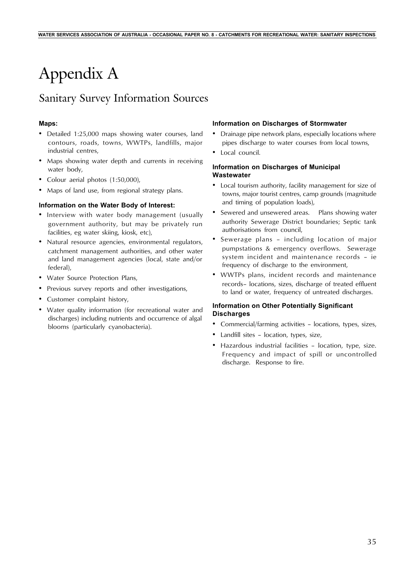# Appendix A

## Sanitary Survey Information Sources

#### **Maps:**

- Detailed 1:25,000 maps showing water courses, land contours, roads, towns, WWTPs, landfills, major industrial centres,
- Maps showing water depth and currents in receiving water body,
- Colour aerial photos (1:50,000),
- Maps of land use, from regional strategy plans.

#### **Information on the Water Body of Interest:**

- Interview with water body management (usually government authority, but may be privately run facilities, eg water skiing, kiosk, etc),
- Natural resource agencies, environmental regulators, catchment management authorities, and other water and land management agencies (local, state and/or federal),
- Water Source Protection Plans,
- Previous survey reports and other investigations,
- Customer complaint history,
- Water quality information (for recreational water and discharges) including nutrients and occurrence of algal blooms (particularly cyanobacteria).

#### **Information on Discharges of Stormwater**

- Drainage pipe network plans, especially locations where pipes discharge to water courses from local towns,
- Local council.

#### **Information on Discharges of Municipal Wastewater**

- Local tourism authority, facility management for size of towns, major tourist centres, camp grounds (magnitude and timing of population loads),
- Sewered and unsewered areas. Plans showing water authority Sewerage District boundaries; Septic tank authorisations from council,
- Sewerage plans including location of major pumpstations & emergency overflows. Sewerage system incident and maintenance records – ie frequency of discharge to the environment,
- WWTPs plans, incident records and maintenance records– locations, sizes, discharge of treated effluent to land or water, frequency of untreated discharges.

### **Information on Other Potentially Significant Discharges**

- Commercial/farming activities locations, types, sizes,
- Landfill sites location, types, size,
- Hazardous industrial facilities location, type, size. Frequency and impact of spill or uncontrolled discharge. Response to fire.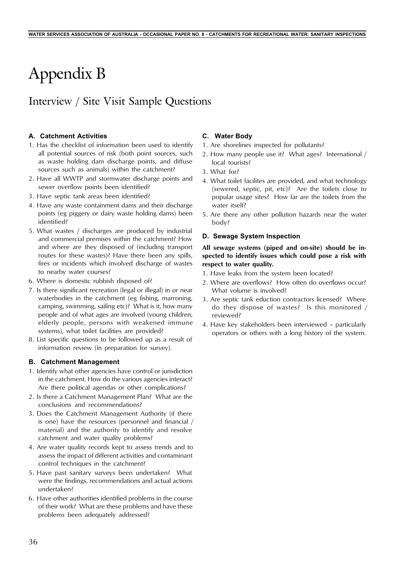# Appendix B

# Interview / Site Visit Sample Questions

### **A. Catchment Activities**

- 1. Has the checklist of information been used to identify all potential sources of risk (both point sources, such as waste holding dam discharge points, and diffuse sources such as animals) within the catchment?
- 2. Have all WWTP and stormwater discharge points and sewer overflow points been identified?
- 3. Have septic tank areas been identified?
- 4. Have any waste containment dams and their discharge points (eg piggery or dairy waste holding dams) been identified?
- 5. What wastes / discharges are produced by industrial and commercial premises within the catchment? How and where are they disposed of (including transport routes for these wastes)? Have there been any spills, fires or incidents which involved discharge of wastes to nearby water courses?
- 6. Where is domestic rubbish disposed of?
- 7. Is there significant recreation (legal or illegal) in or near waterbodies in the catchment (eg fishing, marroning, camping, swimming, sailing etc)? What is it, how many people and of what ages are involved (young children, elderly people, persons with weakened immune systems), what toilet facilities are provided?
- 8. List specific questions to be followed up as a result of information review (in preparation for survey).

#### **B. Catchment Management**

- 1. Identify what other agencies have control or jurisdiction in the catchment. How do the various agencies interact? Are there political agendas or other complications?
- 2. Is there a Catchment Management Plan? What are the conclusions and recommendations?
- 3. Does the Catchment Management Authority (if there is one) have the resources (personnel and financial / material) and the authority to identify and resolve catchment and water quality problems?
- 4. Are water quality records kept to assess trends and to assess the impact of different activities and contaminant control techniques in the catchment?
- 5. Have past sanitary surveys been undertaken? What were the findings, recommendations and actual actions undertaken?
- 6. Have other authorities identified problems in the course of their work? What are these problems and have these problems been adequately addressed?

#### **C. Water Body**

- 1. Are shorelines inspected for pollutants?
- 2. How many people use it? What ages? International / local tourists?
- 3. What for?
- 4. What toilet facilites are provided, and what technology (sewered, septic, pit, etc)? Are the toilets close to popular usage sites? How far are the toilets from the water itself?
- 5. Are there any other pollution hazards near the water body?

#### **D. Sewage System Inspection**

#### **All sewage systems (piped and on-site) should be inspected to identify issues which could pose a risk with respect to water quality.**

- 1. Have leaks from the system been located?
- 2. Where are overflows? How often do overflows occur? What volume is involved?
- 3. Are septic tank eduction contractors licensed? Where do they dispose of wastes? Is this monitored / reviewed?
- 4. Have key stakeholders been interviewed particularly operators or others with a long history of the system.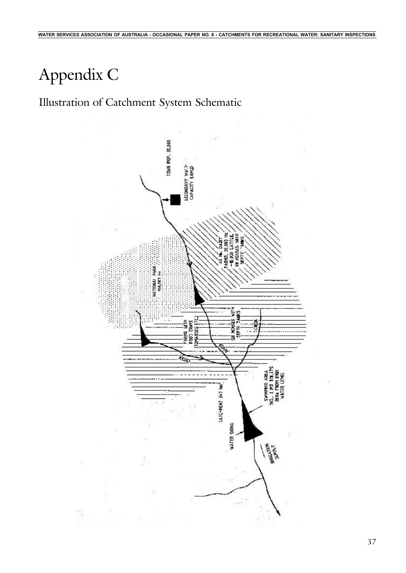# Appendix C

# Illustration of Catchment System Schematic

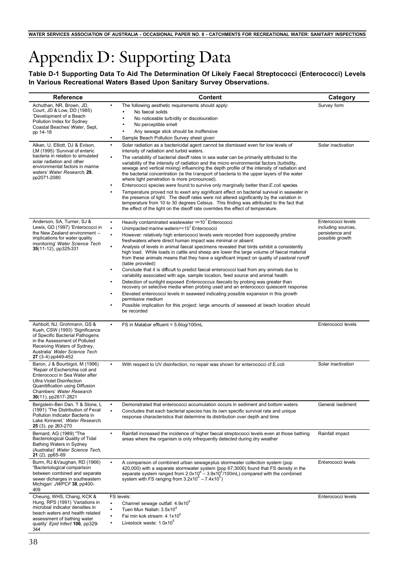# Appendix D: Supporting Data

**Table D-1 Supporting Data To Aid The Determination Of Likely Faecal Streptococci (Enterococci) Levels In Various Recreational Waters Based Upon Sanitary Survey Observations.**

| <b>Reference</b>                                                                                                                                                                                                                      | Content                                                                                                                                                                                                                                                                                                                                                                                                                                                                                                                                                                                                                                                                                                                                                                                                                                                                                                                                                                                                                                                                                                                                                                                                            | Category                                                                       |
|---------------------------------------------------------------------------------------------------------------------------------------------------------------------------------------------------------------------------------------|--------------------------------------------------------------------------------------------------------------------------------------------------------------------------------------------------------------------------------------------------------------------------------------------------------------------------------------------------------------------------------------------------------------------------------------------------------------------------------------------------------------------------------------------------------------------------------------------------------------------------------------------------------------------------------------------------------------------------------------------------------------------------------------------------------------------------------------------------------------------------------------------------------------------------------------------------------------------------------------------------------------------------------------------------------------------------------------------------------------------------------------------------------------------------------------------------------------------|--------------------------------------------------------------------------------|
| Achuthan, NR, Brown, JD,<br>Court, JD & Low, DD (1985)<br>'Development of a Beach<br>Pollution Index for Sydney<br>Coastal Beaches' Water, Sept,<br>pp 14-18                                                                          | The following aesthetic requirements should apply:<br>٠<br>No faecal solids<br>No noticeable turbidity or discolouration<br>No perceptible smell<br>Any sewage slick should be inoffensive<br>Sample Beach Pollution Survey sheet given<br>$\bullet$                                                                                                                                                                                                                                                                                                                                                                                                                                                                                                                                                                                                                                                                                                                                                                                                                                                                                                                                                               | Survey form                                                                    |
| Alkan, U, Elliott, DJ & Evison,<br>LM (1995) 'Survival of enteric<br>bacteria in relation to simulated<br>solar radiation and other<br>environmental factors in marine<br>waters' Water Research, 29,<br>pp2071-2080                  | Solar radiation as a bactericidal agent cannot be dismissed even for low levels of<br>$\bullet$<br>intensity of radiation and turbid waters.<br>The variability of bacterial dieoff rates in sea water can be primarily attributed to the<br>٠<br>variability of the intensity of radiation and the micro environmental factors (turbidity,<br>sewage and vertical mixing) influencing the depth profile of the intensity of radiation and<br>the bacterial concentration (ie the transport of bacteria to the upper layers of the water<br>where light penetration is more pronounced).<br>Enterococci species were found to survive only marginally better than E coli species<br>Temperature proved not to exert any significant effect on bacterial survival in seawater in<br>the presence of light. The dieoff rates were not altered significantly by the variation in<br>temperature from 10 to 30 degrees Celsius. This finding was attributed to the fact that<br>the effect of the light on the dieoff rate overrides the effect of temperature.                                                                                                                                                        | Solar inactivation                                                             |
| Anderson, SA, Turner, SJ &<br>Lewis, GD (1997) 'Enterococci in<br>the New Zealand environment -<br>implications for water quality<br>monitoring' Water Science Tech<br>35(11-12), pp325-331                                           | Heavily contaminated wastewater $\Rightarrow$ 10 <sup>7</sup> Enterococci<br>$\bullet$<br>Unimpacted marine waters=<10 <sup>1</sup> Enterococci<br>$\bullet$<br>However: relatively high enterococci levels were recorded from supposedly pristine<br>freshwaters where direct human impact was minimal or absent<br>Analysis of levels in animal faecal specimens revealed that birds exhibit a consistently<br>high load. While loads in cattle and sheep are lower the large volume of faecal material<br>from these animals means that they have a significant impact on quality of pastoral runoff<br>(table provided)<br>Conclude that it is difficult to predict faecal enterococci load from any animals due to<br>variability associated with age, sample location, feed source and animal health<br>Detection of sunlight exposed <i>Enterococcus faecalis</i> by probing was greater than<br>recovery on selective media when probing used and an enterococci quiescent response<br>Elevated enterococci levels in seaweed indicating possible expansion in this growth<br>permissive medium<br>Possible implication for this project: large amounts of seaweed at beach location should<br>be recorded | Enterococci levels<br>including sources,<br>persistence and<br>possible growth |
| Ashbolt, NJ, Grohmann, GS &<br>Kueh, CSW (1993) 'Significance<br>of Specific Bacterial Pathogens<br>in the Assessment of Polluted<br>Receiving Waters of Sydney,<br>Australia' Water Science Tech<br>27 (3-4) pp449-452               | FS in Malabar effluent = 5.6log/100mL<br>$\bullet$                                                                                                                                                                                                                                                                                                                                                                                                                                                                                                                                                                                                                                                                                                                                                                                                                                                                                                                                                                                                                                                                                                                                                                 | Enterococci levels                                                             |
| Baron, J & Bourbigot, M (1996)<br>'Repair of Escherichia coli and<br>Enterococci in Sea Water after<br><b>Ultra Violet Disinfection</b><br>Quanitification using Diffusion<br>Chambers' Water Research<br><b>30</b> (11), pp2817-2821 | With respect to UV disinfection, no repair was shown for enterococci of E.coli<br>$\bullet$                                                                                                                                                                                                                                                                                                                                                                                                                                                                                                                                                                                                                                                                                                                                                                                                                                                                                                                                                                                                                                                                                                                        | Solar inactivation                                                             |
| Bergstein-Ben Dan, T & Stone, L<br>(1991) 'The Distribution of Fecal<br>Pollution Indicator Bacteria in<br>Lake Kinneret.' Water Research,<br><b>25</b> (3), pp 263-270                                                               | Demonstrated that enterococci accumulation occurs in sediment and bottom waters<br>$\bullet$<br>$\bullet$<br>Concludes that each bacterial species has its own specific survival rate and unique<br>response characteristics that determine its distribution over depth and time                                                                                                                                                                                                                                                                                                                                                                                                                                                                                                                                                                                                                                                                                                                                                                                                                                                                                                                                   | General /sediment                                                              |
| Bernard, AG (1989) "The<br><b>Bacteriological Quality of Tidal</b><br><b>Bathing Waters in Sydney</b><br>(Australia)' Water Science Tech,<br>21 (2), pp65-69                                                                          | Rainfall increased the incidence of higher faecal streptococci levels even at those bathing<br>$\bullet$<br>areas where the organism is only infrequently detected during dry weather                                                                                                                                                                                                                                                                                                                                                                                                                                                                                                                                                                                                                                                                                                                                                                                                                                                                                                                                                                                                                              | Rainfall impact                                                                |
| Burm, RJ & Vaughan, RD (1966)<br>"Bacteriological comparison<br>between combined and separate<br>sewer dicharges in southeastern<br>Michigan' JWPCF 38, pp400-<br>409                                                                 | A comparison of combined urban sewageplus stormwater collection system (pop<br>$\bullet$<br>420,000) with a separate stormwater system {pop 67,3000) found that FS density in the<br>separate system ranged from $2.0x10^4 - 3.9x10^5/100m$ L) compared with the combined<br>system with FS ranging from $3.2 \times 10^5 - 7.4 \times 10^5$ )                                                                                                                                                                                                                                                                                                                                                                                                                                                                                                                                                                                                                                                                                                                                                                                                                                                                     | Enterococci levels                                                             |
| Cheung, WHS, Chang, KCK &<br>Hung, RPS (1991) 'Variations in<br>microbial indicator densities in<br>beach waters and health related<br>assessment of bathing water<br>quality' Epid Infect 106, pp329-<br>344                         | FS levels:<br>Channel sewage outfall: 4.9x10°<br>Tuen Mun Nallah: 3.5x104<br>$\bullet$<br>Fai min kok stream: 4.1x10 <sup>5</sup><br>$\bullet$<br>Livestock waste: 1.0x10 <sup>5</sup><br>٠                                                                                                                                                                                                                                                                                                                                                                                                                                                                                                                                                                                                                                                                                                                                                                                                                                                                                                                                                                                                                        | Enterococci levels                                                             |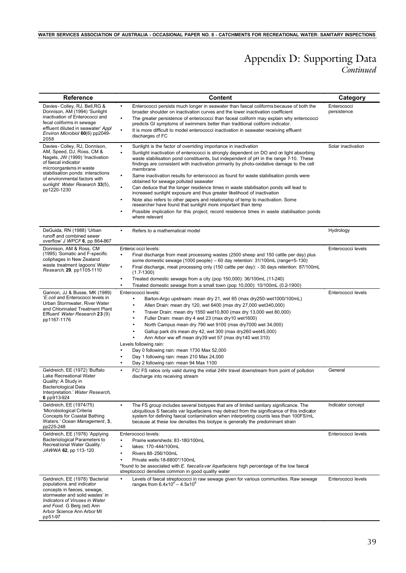## *Continued* Appendix D: Supporting Data

| <b>Reference</b>                                                                                                                                                                                                                                                         | <b>Content</b>                                                                                                                                                                                                                                                                                                                                                                                                                                                                                                                                                                                                                                                                                                                                                                                                                                                                                                                                                                                                     | Category                   |
|--------------------------------------------------------------------------------------------------------------------------------------------------------------------------------------------------------------------------------------------------------------------------|--------------------------------------------------------------------------------------------------------------------------------------------------------------------------------------------------------------------------------------------------------------------------------------------------------------------------------------------------------------------------------------------------------------------------------------------------------------------------------------------------------------------------------------------------------------------------------------------------------------------------------------------------------------------------------------------------------------------------------------------------------------------------------------------------------------------------------------------------------------------------------------------------------------------------------------------------------------------------------------------------------------------|----------------------------|
| Davies - Colley, RJ, Bell, RG &<br>Donnison, AM (1994) 'Sunlight<br>inactivation of Enterococci and<br>fecal coliforms in sewage<br>effluent diluted in seawater' Appl<br>Environ Microbiol 60(6) pp2049-<br>2058                                                        | Enterococci persists much longer in seawater than faecal coliforms because of both the<br>$\bullet$<br>broader shoulder on inactivation curves and the lower inactivation coefficient<br>The greater persistence of enterococci than faceal coliform may explain why enterococci<br>$\bullet$<br>predicts GI symptoms of swimmers better than traditional coliform indicator.<br>It is more difficult to model enterococci inactivation in seawater receiving effluent<br>$\bullet$<br>discharges of FC                                                                                                                                                                                                                                                                                                                                                                                                                                                                                                            | Enterococci<br>persistence |
| Davies - Colley, RJ, Donnison,<br>AM, Speed, DJ, Ross, CM &<br>Nagels, JW (1999) 'Inactivation<br>of faecal indicator<br>microorganisms in waste<br>stabilisation ponds: interactions<br>of environmental factors with<br>sunlight' Water Research 33(5),<br>pp1220-1230 | Sunlight is the factor of overriding importance in inactivation<br>$\bullet$<br>Sunlight inactivation of enterococci is strongly dependent on DO and on light absorbing<br>$\bullet$<br>waste stabilisation pond constituents, but independent of pH in the range 7-10. These<br>findings are consistent with inactivation primarily by photo-oxidative damage to the cell<br>membrane<br>Same inactivation results for enterococci as found for waste stabilisation ponds were<br>$\bullet$<br>obtained for sewage polluted seawater<br>Can deduce that the longer residence times in waste stabilisation ponds will lead to<br>$\bullet$<br>increased sunlight exposure and thus greater likelihood of inactivation<br>Note also refers to other papers and relationship of temp to inactivation. Some<br>$\bullet$<br>researcher have found that sunlight more important than temp<br>Possible implication for this project; record residence times in waste stabilisation ponds<br>$\bullet$<br>where relevant | Solar inactivation         |
| DeGuida, RN (1988) 'Urban<br>runoff and combined sewer<br>overflow' J WPCF 6, pp 864-867                                                                                                                                                                                 | Refers to a mathematical model<br>$\bullet$                                                                                                                                                                                                                                                                                                                                                                                                                                                                                                                                                                                                                                                                                                                                                                                                                                                                                                                                                                        | Hydrology                  |
| Donnison, AM & Ross, CM<br>(1995) 'Somatic and F-specific<br>coliphages in New Zealand<br>waste treatment lagoons' Water<br>Research, 29, pp1105-1110                                                                                                                    | Enteroc occi levels:<br>Final discharge from meat processing wastes (2500 sheep and 150 cattle per day) plus<br>$\bullet$<br>some domestic sewage $(1000 \text{ people}) - 60$ day retention: $31/100 \text{m}$ (range=5-130)<br>Final discharge, meat processing only (150 cattle per day): - 30 days retention: 87/100mL<br>$\bullet$<br>$(1.7-1300)$<br>Treated domestic sewage from a city (pop 150,000): 36/100mL (11-240)<br>٠<br>Treated domestic sewage from a small town (pop 10,000): 10/100mL (0.2-1900)<br>$\bullet$                                                                                                                                                                                                                                                                                                                                                                                                                                                                                   | Enterococci levels         |
| Gannon, JJ & Busse, MK (1989)<br>'E.coli and Enterococci levels in<br>Urban Stormwater, River Water<br>and Chlorinated Treatment Plant<br>Effluent' Water Research 23(9)<br>pp1167-1176                                                                                  | Enterococci levels:<br>Barton-Argo upstream: mean dry 21, wet 65 (max dry 250-wet 1000/100mL)<br>$\bullet$<br>Allen Drain: mean dry 120, wet 6400 (max dry 27,000 wet 340,000)<br>Traver Drain: mean dry 1550 wet 10,800 (max dry 13,000 wet 80,000)<br>Fuller Drain: mean dry 4 wet 23 (max dry 10 wet 1600)<br>$\bullet$<br>North Campus mean dry 790 wet 9100 (max dry 7000 wet 34,000)<br>٠<br>Gallup park d/s mean dry 42, wet 300 (max dry260 wet45,000)<br>Ann Arbor ww eff mean dry39 wet 57 (max dry140 wet 310)<br>Levels following rain:<br>Day 0 following rain: mean 1730 Max 52,000<br>$\bullet$<br>Day 1 following rain: mean 210 Max 24,000<br>Day 2 following rain: mean 94 Max 1100<br>$\bullet$                                                                                                                                                                                                                                                                                                 | Enterococci levels         |
| Geldreich, EE (1972) 'Buffalo<br>Lake Recreational Water<br>Quality: A Study in<br><b>Bacteriological Data</b><br>Interpretation.' Water Research,<br>6 pp913-924                                                                                                        | FC/ FS ratios only valid during the initial 24hr travel downstream from point of pollution<br>$\bullet$<br>discharge into receiving stream                                                                                                                                                                                                                                                                                                                                                                                                                                                                                                                                                                                                                                                                                                                                                                                                                                                                         | General                    |
| Geldreich, EE (1974/75)<br>'Microbiological Criteria<br><b>Concepts for Coastal Bathing</b><br>Waters.' Ocean Management, 3,<br>pp225-248                                                                                                                                | The FS group includes several biotypes that are of limited sanitary significance. The<br>$\bullet$<br>ubiquitious S faecalis var liquefaciens may detract from the significance of this indicator<br>system for defining faecal contamination when interpreting counts less than 100FS/mL<br>because at these low densities this biotype is generally the predominant strain                                                                                                                                                                                                                                                                                                                                                                                                                                                                                                                                                                                                                                       | Indicator concept          |
| Geldreich, EE (1976) 'Applying<br>Bacteriological Parameters to<br>Recreational Water Quality.'<br>JAWWA 62, pp 113-120                                                                                                                                                  | Enterococci levels:<br>Prairie watersheds: 83-180/100mL<br>$\bullet$<br>lakes: 170-444/100mL<br>Rivers 88-256/100mL<br>$\bullet$<br>Private wells: 18-8800*/100mL<br>*found to be associated with E. faecalis var liquefaciens high percentage of the low faecal<br>streptococci densities common in good quality water                                                                                                                                                                                                                                                                                                                                                                                                                                                                                                                                                                                                                                                                                            | Enterococci levels         |
| Geldreich, EE (1978) 'Bacterial<br>populations and indicator<br>concepts in faeces, sewage,<br>stormwater and solid wastes' in<br>Indicators of Viruses in Water<br>and Food. G Berg (ed) Ann<br>Arbor Science Ann Arbor MI<br>pp51-97                                   | Levels of faecal streptococci in raw sewage given for various communities. Raw sewage<br>$\bullet$<br>ranges from $6.4x10^{4} - 4.5x10^{6}$                                                                                                                                                                                                                                                                                                                                                                                                                                                                                                                                                                                                                                                                                                                                                                                                                                                                        | Enterococci levels         |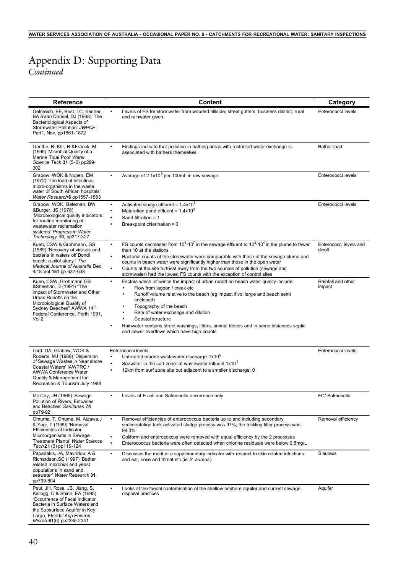# Appendix D: Supporting Data

*Continued*

| Reference                                                                                                                                                                                                                      | <b>Content</b>                                                                                                                                                                                                                                                                                                                                                                                                                                                                                                                    | Category                         |
|--------------------------------------------------------------------------------------------------------------------------------------------------------------------------------------------------------------------------------|-----------------------------------------------------------------------------------------------------------------------------------------------------------------------------------------------------------------------------------------------------------------------------------------------------------------------------------------------------------------------------------------------------------------------------------------------------------------------------------------------------------------------------------|----------------------------------|
| Geldreich, EE, Best, LC, Kenner,<br>BA & Van Donsel, DJ (1968) 'The<br>Bacteriological Aspects of<br>Stormwater Pollution' JWPCF,<br>Part1, Nov, pp1861-1872                                                                   | Levels of FS for stormwater from wooded hillside, street gutters, business district, rural<br>and rainwater given.                                                                                                                                                                                                                                                                                                                                                                                                                | Enterococci levels               |
| Genthe, B, Kfir, R & Franck, M<br>(1995) 'Microbial Quality of a<br>Marine Tidal Pool' Water<br>Science Tech 31 (5-6) pp299-<br>302                                                                                            | Findings indicate that pollution in bathing areas with restricted water exchange is<br>٠<br>associated with bathers themselves                                                                                                                                                                                                                                                                                                                                                                                                    | Bather load                      |
| Grabow, WOK & Nupen, EM<br>(1972) 'The load of infectious<br>micro-organisms in the waste<br>water of South African hospitals'<br>Water Research 6 pp1557-1563                                                                 | Average of 2.1x10 <sup>6</sup> per 100mL in raw sewage<br>$\bullet$                                                                                                                                                                                                                                                                                                                                                                                                                                                               | Enterococci levels               |
| Grabow, WOK, Bateman, BW<br>&Burger, JS (1978)<br>'Microbiological quality indicators<br>for routine monitoring of<br>wastewater reclamation<br>systems' Progress in Water<br>Technology 10, pp317-327                         | Activated sludge effluent = $1.4x10^{\circ}$<br>$\bullet$<br>Maturation pond effluent = $1.4x10^3$<br>$\bullet$<br>Sand filtration = $1$<br>Breakpoint chlorination = 0                                                                                                                                                                                                                                                                                                                                                           | Enterococci levels               |
| Kueh, CSW & Grohmann, GS<br>(1989) 'Recovery of viruses and<br>bacteria in waters off Bondi<br>beach: a pilot study.' The<br>Medical Journal of Australia Dec<br>4/18 Vol 151 pp 632-638                                       | FS counts decreased from $10^4$ -10 <sup>7</sup> in the sewage effluent to $10^2$ -10 <sup>4</sup> in the plume to fewer<br>$\bullet$<br>than 10 at the stations<br>Bacterial counts of the stormwater were comparable with those of the sewage plume and<br>$\bullet$<br>counts in beach water were significantly higher than those in the open water<br>Counts at the site furthest away from the two sources of pollution (sewage and<br>$\bullet$<br>stormwater) had the lowest FS counts with the exception of control sites | Enterococci levels and<br>dieoff |
| Kuen, CSW, Grohmann, GS<br>&Sheehan, D (1991) "The<br>impact of Stormwater and Other<br>Urban Runoffs on the<br>Microbiological Quality of<br>Sydney Beaches" AWWA 14th<br>Federal Conference, Perth 1991,<br>Vol 2            | Factors which influence the impact of urban runoff on beach water quality include:<br>$\bullet$<br>Flow from lagoon / creek etc<br>Runoff volume relative to the beach (eg impact if vol large and beach semi<br>enclosed)<br>Topography of the beach<br>Rate of water exchange and dilution<br>Coastal structure<br>Rainwater contains street washings, litters, animal faeces and in some instances septic<br>$\bullet$<br>and sewer overflows which have high counts                                                           | Rainfall and other<br>impact     |
| Lord, DA, Grabow, WOK &<br>Roberts, MJ (1988) 'Dispersion<br>of Sewage Wastes in Near shore<br>Coastal Waters' IAWPRC /<br><b>AWWA Conference Water</b><br>Quality & Management for<br>Recreation & Tourism July 1988          | Enterococci levels:<br>Untreated marine wastewater discharge 1x10 <sup>6</sup><br>٠<br>Seawater in the surf zone: at wastewater influent: $1x103$<br>$\bullet$<br>12km from surf zone site but adjacent to a smaller discharge: 0<br>$\bullet$                                                                                                                                                                                                                                                                                    | Enterococci levels               |
| Mc Coy, JH (1965) 'Sewage<br>Pollution of Rivers, Estuaries<br>and Beaches' Sanitarian 74<br>pp79-92                                                                                                                           | Levels of E.coli and Salmonella occurrence only<br>$\bullet$                                                                                                                                                                                                                                                                                                                                                                                                                                                                      | FC/ Salmonella                   |
| Omuma, T. Onuma, M. Aizawa, J.<br>& Yagi, T (1989) 'Removal<br>Efficiencies of Indicator<br>Microorganisms in Sewage<br>Treatment Plants' Water Science<br>Tech 21 (3) pp 119-124                                              | Removal efficiencies of enterococcus bacteria up to and including secondary<br>$\bullet$<br>sedimentation tank activated sludge process was 97%; the trickling filter process was<br>98.3%<br>Coliform and enterococcus were removed with equal efficiency by the 2 processes<br>$\bullet$<br>Enterococcus bacteria were often detected when chlorine residuals were below 0.5mg/L<br>$\bullet$                                                                                                                                   | Removal efficiency               |
| Papadakis, JA, Mavridou, A &<br>Richardson, SC (1997) 'Bather<br>related microbial and yeast<br>populations in sand and<br>seawater' Water Research 31,<br>pp799-804                                                           | Discusses the merit of a supplementary indicator with respect to skin related infections<br>$\bullet$<br>and ear, nose and throat etc (ie S. aureus)                                                                                                                                                                                                                                                                                                                                                                              | S.aureus                         |
| Paul, JH, Rose, JB, Jiang, S,<br>Kellogg, C & Shinn, EA (1995)<br>'Occurrence of Fecal Indicator<br>Bacteria in Surface Waters and<br>the Subsurface Aquifer in Key<br>Largo, Florida' App Environ<br>Microb 61(6) pp2235-2241 | Looks at the faecal contamination of the shallow onshore aquifer and current sewage<br>$\bullet$<br>disposal practices                                                                                                                                                                                                                                                                                                                                                                                                            | Aquifer                          |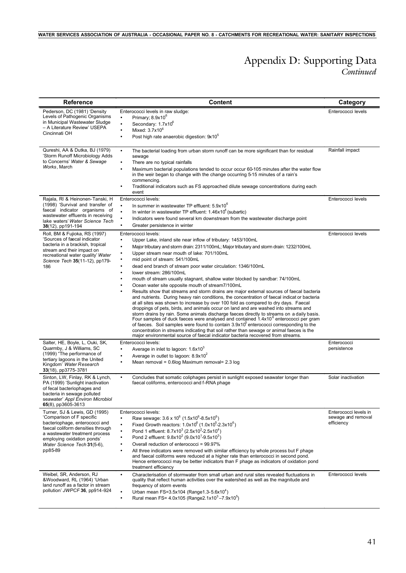## *Continued* Appendix D: Supporting Data

| <b>Reference</b>                                                                                                                                                                                                                            | <b>Content</b>                                                                                                                                                                                                                                                                                                                                                                                                                                                                                                                                                                                                                                                                                                                                                                                                                                                                                                                                                                                                                                                                                                                                                                                                                                                                                                                                                                                                                       | Category                                                  |
|---------------------------------------------------------------------------------------------------------------------------------------------------------------------------------------------------------------------------------------------|--------------------------------------------------------------------------------------------------------------------------------------------------------------------------------------------------------------------------------------------------------------------------------------------------------------------------------------------------------------------------------------------------------------------------------------------------------------------------------------------------------------------------------------------------------------------------------------------------------------------------------------------------------------------------------------------------------------------------------------------------------------------------------------------------------------------------------------------------------------------------------------------------------------------------------------------------------------------------------------------------------------------------------------------------------------------------------------------------------------------------------------------------------------------------------------------------------------------------------------------------------------------------------------------------------------------------------------------------------------------------------------------------------------------------------------|-----------------------------------------------------------|
| Pederson, DC (1981) 'Density<br>Levels of Pathogenic Organisms<br>in Municipal Wastewater Sludge<br>- A Literature Review' USEPA<br>Cincinnati OH                                                                                           | Enterococci levels in raw sludge:<br>Primary; 8.9x10 <sup>6</sup><br>$\bullet$<br>Secondary: 1.7x10 <sup>6</sup><br>$\bullet$<br>Mixed: $3.7x10^6$<br>$\bullet$<br>Post high rate anaerobic digestion: 9x10°<br>$\bullet$                                                                                                                                                                                                                                                                                                                                                                                                                                                                                                                                                                                                                                                                                                                                                                                                                                                                                                                                                                                                                                                                                                                                                                                                            | Enterococci levels                                        |
| Qureshi, AA & Dutka, BJ (1979)<br>'Storm Runoff Microbiology Adds<br>to Concerns' Water & Sewage<br>Works, March                                                                                                                            | The bacterial loading from urban storm runoff can be more significant than for residual<br>$\bullet$<br>sewage<br>There are no typical rainfalls<br>$\bullet$<br>Maximum bacterial populations tended to occur occur 60-105 minutes after the water flow<br>$\bullet$<br>in the weir began to change with the change occurring 5-15 minutes of a rain's<br>commencing.<br>Traditional indicators such as FS approached dilute sewage concentrations during each<br>event                                                                                                                                                                                                                                                                                                                                                                                                                                                                                                                                                                                                                                                                                                                                                                                                                                                                                                                                                             | Rainfall impact                                           |
| Rajala, RI & Heinonen-Tanski, H<br>(1998) 'Survival and transfer of<br>faecal indicator organisms of<br>wastewater effluents in receiving<br>lake waters' Water Science Tech<br>38(12), pp191-194                                           | Enterococci levels:<br>In summer in wastewater TP effluent: 5.9x10 <sup>6</sup><br>$\bullet$<br>In winter in wastewater TP effluent: $1.46 \times 10^4$ (subartic)<br>$\bullet$<br>Indicators were found several km downstream from the wastewater discharge point<br>$\bullet$<br>$\bullet$<br>Greater persistence in winter                                                                                                                                                                                                                                                                                                                                                                                                                                                                                                                                                                                                                                                                                                                                                                                                                                                                                                                                                                                                                                                                                                        | Enterococci levels                                        |
| Roll, BM & Fujioka, RS (1997)<br>'Sources of faecal indicator<br>bacteria in a brackish, tropical<br>stream and their impact on<br>recreational water quality' Water<br>Science Tech 35(11-12), pp179-<br>186                               | Enterococci levels:<br>Upper Lake, inland site near inflow of tributary: 1453/100mL<br>$\bullet$<br>Major tributary and storm drain: 2311/100mL; Major tributary and storm drain: 1232/100mL<br>$\bullet$<br>Upper stream near mouth of lake: 701/100mL<br>٠<br>mid point of stream: 541/100mL<br>$\bullet$<br>dead end branch of stream poor water circulation: 1346/100mL<br>$\bullet$<br>lower stream: 286/100mL<br>$\bullet$<br>mouth of stream usually stagnant, shallow water blocked by sandbar: 74/100mL<br>Ocean water site opposite mouth of stream7/100mL<br>٠<br>Results show that streams and storm drains are major external sources of faecal bacteria<br>٠<br>and nutrients. During heavy rain conditions, the concentration of faecal indicat or bacteria<br>at all sites was shown to increase by over 100 fold as compared to dry days. Faecal<br>droppings of pets, birds, and animals occur on land and are washed into streams and<br>storm drains by rain. Some animals discharge faeces directly to streams on a daily basis.<br>Four samples of duck faeces were analysed and contained 1.4x10 <sup>6</sup> enterococci per gram<br>of faeces. Soil samples were found to contain $3.9x105$ enterococci corresponding to the<br>concentration in streams indicating that soil rather than sewage or animal faeces is the<br>major environmental source of faecal indicator bacteria recovered from streams. | Enterococci levels                                        |
| Salter, HE, Boyle, L, Ouki, SK,<br>Quarmby, J & Williams, SC<br>(1999) "The performance of<br>tertiary lagoons in the United<br>Kingdom' Water Research<br>33(18), pp3775-3781                                                              | Enterococci levels:<br>Average in inlet to lagoon: 1.6x10 <sup>3</sup><br>$\bullet$<br>Average in outlet to lagoon: $8.9x10^2$<br>$\bullet$<br>Mean removal = 0.6log Maximum removal= 2.3 log<br>$\bullet$                                                                                                                                                                                                                                                                                                                                                                                                                                                                                                                                                                                                                                                                                                                                                                                                                                                                                                                                                                                                                                                                                                                                                                                                                           | Enterococci<br>persistence                                |
| Sinton, LW, Finlay, RK & Lynch,<br>PA (1999) 'Sunlight inactivation<br>of fecal bacteriophages and<br>bacteria in sewage polluted<br>seawater' Appl Environ Microbiol<br>65(8), pp3605-3613                                                 | Concludes that somatic coliphages persist in sunlight exposed seawater longer than<br>$\bullet$<br>faecal coliforms, enterococci and f-RNA phage                                                                                                                                                                                                                                                                                                                                                                                                                                                                                                                                                                                                                                                                                                                                                                                                                                                                                                                                                                                                                                                                                                                                                                                                                                                                                     | Solar inactivation                                        |
| Turner, SJ & Lewis, GD (1995)<br>'Comparison of F specific<br>bacteriophage, enterococci and<br>faecal coliform densities through<br>a wastewater treatment process<br>employing oxidation ponds'<br>Water Science Tech 31(5-6),<br>pp85-89 | Enterococci levels:<br>Raw sewage: 3.6 x 10 <sup>6</sup> (1.5x10 <sup>6</sup> -8.5x10 <sup>6</sup> )<br>$\bullet$<br>Fixed Growth reactors: $1.0x10^6$ ( $1.0x10^5$ -2.3x10 <sup>6</sup> )<br>$\bullet$<br>Pond 1 effluent: 8.7x10 <sup>3</sup> (2.5x10 <sup>2</sup> -2.5x10 <sup>4</sup> )<br>$\bullet$<br>Pond 2 effluent: 9.8x10 <sup>2</sup> (9.0x10 <sup>1</sup> -9.5x10 <sup>3</sup> )<br>$\bullet$<br>Overall reduction of enterococci = 99.97%<br>All three indicators were removed with similar efficiency by whole process but F phage<br>$\bullet$<br>and faecal coliforms were reduced at a higher rate than enterococci in second pond.<br>Hence enterococci may be better indicators than F phage as indicators of oxidation pond<br>treatment efficiency                                                                                                                                                                                                                                                                                                                                                                                                                                                                                                                                                                                                                                                              | Enterococci levels in<br>sewage and removal<br>efficiency |
| Weibel, SR, Anderson, RJ<br>&Woodward, RL (1964) 'Urban<br>land runoff as a factor in stream<br>pollution' JWPCF 36, pp914-924                                                                                                              | Characterisation of stormwater from small urban and rural sites revealed fluctuations in<br>$\bullet$<br>quality that reflect human activities over the watershed as well as the magnitude and<br>frequency of storm events<br>Urban mean FS=3.5x104 (Range1.3-5.6x10 <sup>4</sup> )<br>Rural mean FS= $4.0x105$ (Range2.1x10 <sup>3</sup> -7.9x10 <sup>5</sup> )<br>$\bullet$                                                                                                                                                                                                                                                                                                                                                                                                                                                                                                                                                                                                                                                                                                                                                                                                                                                                                                                                                                                                                                                       | Enterococci levels                                        |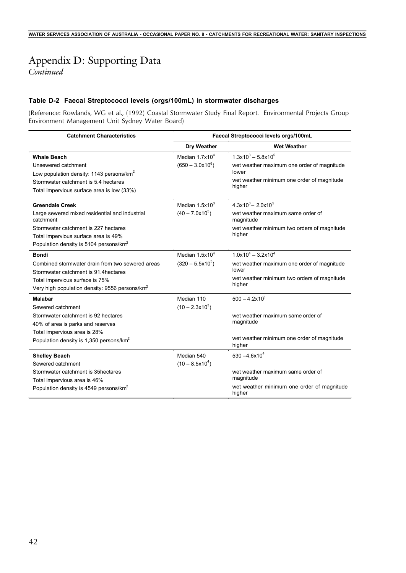## Appendix D: Supporting Data

*Continued*

### **Table D-2 Faecal Streptococci levels (orgs/100mL) in stormwater discharges**

(Reference: Rowlands, WG et al., (1992) Coastal Stormwater Study Final Report. Environmental Projects Group Environment Management Unit Sydney Water Board)

| <b>Catchment Characteristics</b>                            | Faecal Streptococci levels orgs/100mL |                                                      |  |
|-------------------------------------------------------------|---------------------------------------|------------------------------------------------------|--|
|                                                             | <b>Dry Weather</b>                    | <b>Wet Weather</b>                                   |  |
| <b>Whale Beach</b>                                          | Median $1.7x104$                      | $1.3x10^3 - 5.8x10^5$                                |  |
| Unsewered catchment                                         | $(650 - 3.0x10^6)$                    | wet weather maximum one order of magnitude           |  |
| Low population density: 1143 persons/km <sup>2</sup>        |                                       | lower                                                |  |
| Stormwater catchment is 5.4 hectares                        |                                       | wet weather minimum one order of magnitude<br>higher |  |
| Total impervious surface area is low (33%)                  |                                       |                                                      |  |
| <b>Greendale Creek</b>                                      | Median $1.5x103$                      | $4.3x10^{3} - 2.0x10^{5}$                            |  |
| Large sewered mixed residential and industrial<br>catchment | $(40 - 7.0x105)$                      | wet weather maximum same order of<br>magnitude       |  |
| Stormwater catchment is 227 hectares                        |                                       | wet weather minimum two orders of magnitude          |  |
| Total impervious surface area is 49%                        |                                       | higher                                               |  |
| Population density is 5104 persons/km <sup>2</sup>          |                                       |                                                      |  |
| <b>Bondi</b>                                                | Median 1.5x10 <sup>4</sup>            | $1.0x10^4 - 3.2x10^4$                                |  |
| Combined stormwater drain from two sewered areas            | $(320 - 5.5 \times 10^5)$             | wet weather maximum one order of magnitude           |  |
| Stormwater catchment is 91.4 hectares                       |                                       | lower<br>wet weather minimum two orders of magnitude |  |
| Total impervious surface is 75%                             |                                       | higher                                               |  |
| Very high population density: 9556 persons/km <sup>2</sup>  |                                       |                                                      |  |
| <b>Malabar</b>                                              | Median 110                            | $500 - 4.2 \times 10^3$                              |  |
| Sewered catchment                                           | $(10 - 2.3 \times 10^3)$              |                                                      |  |
| Stormwater catchment is 92 hectares                         |                                       | wet weather maximum same order of                    |  |
| 40% of area is parks and reserves                           |                                       | magnitude                                            |  |
| Total impervious area is 28%                                |                                       |                                                      |  |
| Population density is 1,350 persons/km <sup>2</sup>         |                                       | wet weather minimum one order of magnitude<br>higher |  |
| <b>Shelley Beach</b>                                        | Median 540                            | $530 - 4.6 \times 10^{4}$                            |  |
| Sewered catchment                                           | $(10 - 8.5 \times 10^{4})$            |                                                      |  |
| Stormwater catchment is 35hectares                          |                                       | wet weather maximum same order of                    |  |
| Total impervious area is 46%                                |                                       | magnitude                                            |  |
| Population density is 4549 persons/km <sup>2</sup>          |                                       | wet weather minimum one order of magnitude<br>higher |  |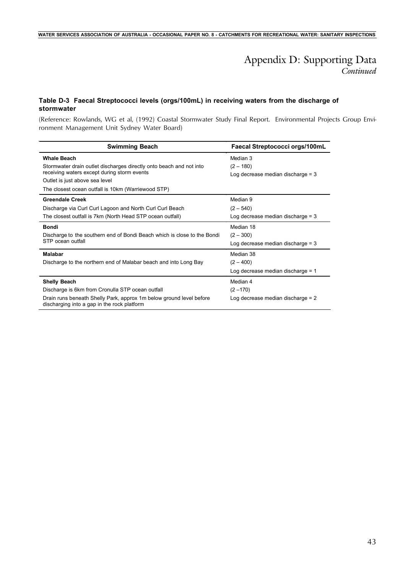## *Continued* Appendix D: Supporting Data

### **Table D-3 Faecal Streptococci levels (orgs/100mL) in receiving waters from the discharge of stormwater**

(Reference: Rowlands, WG et al, (1992) Coastal Stormwater Study Final Report. Environmental Projects Group Environment Management Unit Sydney Water Board)

| <b>Swimming Beach</b>                                                                                              | Faecal Streptococci orgs/100mL      |
|--------------------------------------------------------------------------------------------------------------------|-------------------------------------|
| <b>Whale Beach</b>                                                                                                 | Median 3                            |
| Stormwater drain outlet discharges directly onto beach and not into                                                | $(2 - 180)$                         |
| receiving waters except during storm events                                                                        | Log decrease median discharge $=$ 3 |
| Outlet is just above sea level                                                                                     |                                     |
| The closest ocean outfall is 10km (Warriewood STP)                                                                 |                                     |
| <b>Greendale Creek</b>                                                                                             | Median 9                            |
| Discharge via Curl Curl Lagoon and North Curl Curl Beach                                                           | $(2 - 540)$                         |
| The closest outfall is 7km (North Head STP ocean outfall)                                                          | Log decrease median discharge $=$ 3 |
| <b>Bondi</b>                                                                                                       | Median 18                           |
| Discharge to the southern end of Bondi Beach which is close to the Bondi                                           | $(2 - 300)$                         |
| STP ocean outfall                                                                                                  | Log decrease median discharge $=$ 3 |
| Malabar                                                                                                            | Median 38                           |
| Discharge to the northern end of Malabar beach and into Long Bay                                                   | $(2 - 400)$                         |
|                                                                                                                    | Log decrease median discharge $= 1$ |
| <b>Shelly Beach</b>                                                                                                | Median 4                            |
| Discharge is 6km from Cronulla STP ocean outfall                                                                   | $(2 - 170)$                         |
| Drain runs beneath Shelly Park, approx 1m below ground level before<br>discharging into a gap in the rock platform | Log decrease median discharge $= 2$ |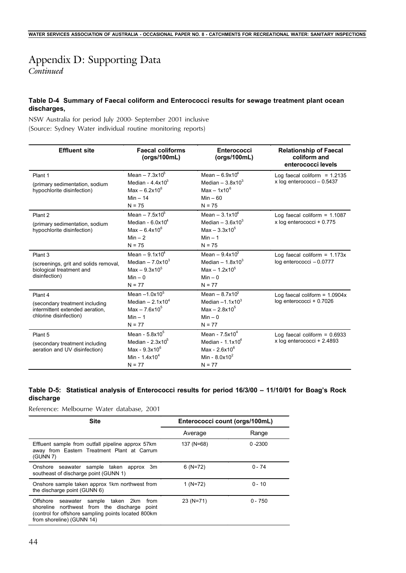## Appendix D: Supporting Data

*Continued*

### **Table D-4 Summary of Faecal coliform and Enterococci results for sewage treatment plant ocean discharges,**

NSW Australia for period July 2000- September 2001 inclusive (Source: Sydney Water individual routine monitoring reports)

| <b>Effluent site</b>                                                                                     | <b>Faecal coliforms</b><br>(orgs/100mL)                                                              | Enterococci<br>(orgs/100mL)                                                                | <b>Relationship of Faecal</b><br>coliform and<br>enterococci levels |
|----------------------------------------------------------------------------------------------------------|------------------------------------------------------------------------------------------------------|--------------------------------------------------------------------------------------------|---------------------------------------------------------------------|
| Plant 1<br>(primary sedimentation, sodium<br>hypochlorite disinfection)                                  | Mean $-7.3x10^{5}$<br>Median - $4.4x103$<br>Max $-6.2x10^6$<br>$Min - 14$<br>$N = 75$                | Mean $-6.9x104$<br>Median $-3.8x103$<br>Max $-1x10^6$<br>$Min - 60$<br>$N = 75$            | Log faecal coliform = $1.2135$<br>x log enterococci - 0.5437        |
| Plant 2<br>(primary sedimentation, sodium<br>hypochlorite disinfection)                                  | Mean $-7.5x10^{5}$<br>Median - $6.0x104$<br>Max $- 6.4x10^6$<br>$Min - 2$<br>$N = 75$                | Mean $-3.1x10^{4}$<br>Median $-3.6x103$<br>Max $-3.3x10^5$<br>$Min - 1$<br>$N = 75$        | Log faecal coliform = $1.1087$<br>x log enterococci + 0.775         |
| Plant <sub>3</sub><br>(screenings, grit and solids removal,<br>biological treatment and<br>disinfection) | Mean $-9.1x10^4$<br>Median $-7.0x103$<br>$Max - 9.3x10^5$<br>$Min - 0$<br>$N = 77$                   | Mean $-9.4x10^{3}$<br>Median $-1.8x103$<br>$Max - 1.2x10^5$<br>$Min - 0$<br>$N = 77$       | Log faecal coliform = $1.173x$<br>log enterococci - 0.0777          |
| Plant 4<br>(secondary treatment including<br>intermittent extended aeration.<br>chlorine disinfection)   | Mean $-1.0x10^5$<br>Median $-2.1x104$<br>$Max - 76x10^{5}$<br>$Min - 1$<br>$N = 77$                  | Mean $-8.7x103$<br>Median $-1.1x103$<br>$Max - 2 8x10^5$<br>$Min - 0$<br>$N = 77$          | Log faecal coliform = $1.0904x$<br>log enterococci + 0.7026         |
| Plant 5<br>(secondary treatment including<br>aeration and UV disinfection)                               | Mean - 5.8x10 <sup>5</sup><br>Median - $2.3x10^5$<br>Max - $9.3x10^6$<br>Min - $1.4x104$<br>$N = 77$ | Mean - $7.5x104$<br>Median - $1.1x104$<br>Max - $2.6x10^6$<br>Min - $8.0x10^2$<br>$N = 77$ | Log faecal coliform = $0.6933$<br>x log enterococci + 2.4893        |

### **Table D-5: Statistical analysis of Enterococci results for period 16/3/00 – 11/10/01 for Boag's Rock discharge**

Reference: Melbourne Water database, 2001

| <b>Site</b>                                                                                                                                                                     | Enterococci count (orgs/100mL) |            |
|---------------------------------------------------------------------------------------------------------------------------------------------------------------------------------|--------------------------------|------------|
|                                                                                                                                                                                 | Average                        | Range      |
| Effluent sample from outfall pipeline approx 57km<br>away from Eastern Treatment Plant at Carrum<br>(GUNN 7)                                                                    | 137 (N=68)                     | $0 - 2300$ |
| Onshore seawater sample taken approx 3m<br>southeast of discharge point (GUNN 1)                                                                                                | $6(N=72)$                      | $0 - 74$   |
| Onshore sample taken approx 1km northwest from<br>the discharge point (GUNN 6)                                                                                                  | $1 (N=72)$                     | $0 - 10$   |
| Offshore seawater sample taken 2km<br>from<br>shoreline northwest from the discharge point<br>(control for offshore sampling points located 800km)<br>from shoreline) (GUNN 14) | 23 (N=71)                      | $0 - 750$  |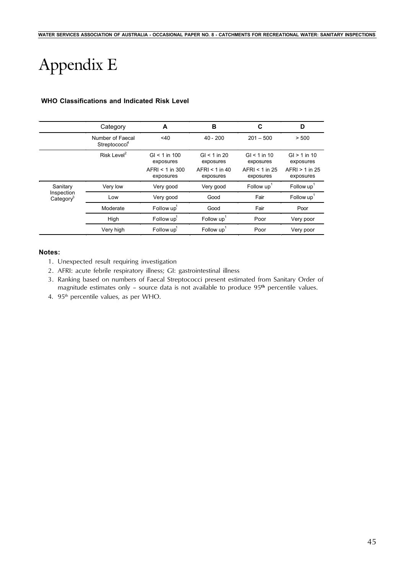# Appendix E

|                                     | Category                                      | A                              | B                             | C                             | D                             |
|-------------------------------------|-----------------------------------------------|--------------------------------|-------------------------------|-------------------------------|-------------------------------|
|                                     | Number of Faecal<br>Streptococci <sup>4</sup> | $<$ 40                         | $40 - 200$                    | $201 - 500$                   | > 500                         |
|                                     | Risk Level <sup>2</sup>                       | $GI < 1$ in 100<br>exposures   | $GI < 1$ in 20<br>exposures   | $GI < 1$ in 10<br>exposures   | $GI > 1$ in 10<br>exposures   |
|                                     |                                               | $AFRI < 1$ in 300<br>exposures | $AFRI < 1$ in 40<br>exposures | AFRI < $1$ in 25<br>exposures | $AFRI > 1$ in 25<br>exposures |
| Sanitary                            | Very low                                      | Very good                      | Very good                     | Follow up                     | Follow up <sup>1</sup>        |
| Inspection<br>Category <sup>3</sup> | Low                                           | Very good                      | Good                          | Fair                          | Follow up                     |
|                                     | Moderate                                      | Follow up                      | Good                          | Fair                          | Poor                          |
|                                     | High                                          | Follow up                      | Follow up                     | Poor                          | Very poor                     |
|                                     | Very high                                     | Follow up'                     | Follow up <sup>1</sup>        | Poor                          | Very poor                     |

### **WHO Classifications and Indicated Risk Level**

#### **Notes:**

- 1. Unexpected result requiring investigation
- 2. AFRI: acute febrile respiratory illness; GI: gastrointestinal illness
- 3. Ranking based on numbers of Faecal Streptococci present estimated from Sanitary Order of magnitude estimates only – source data is not available to produce 95**th** percentile values.
- 4. 95<sup>th</sup> percentile values, as per WHO.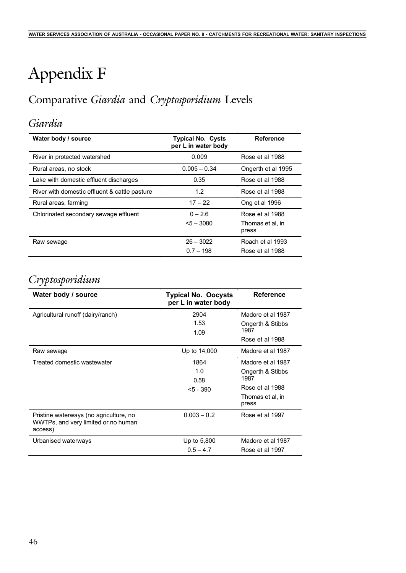# Appendix F

# Comparative *Giardia* and *Cryptosporidium* Levels

## *Giardia*

| Water body / source                           | <b>Typical No. Cysts</b><br>per L in water body | <b>Reference</b>                             |
|-----------------------------------------------|-------------------------------------------------|----------------------------------------------|
| River in protected watershed                  | 0.009                                           | Rose et al 1988                              |
| Rural areas, no stock                         | $0.005 - 0.34$                                  | Ongerth et al 1995                           |
| Lake with domestic effluent discharges        | 0.35                                            | Rose et al 1988                              |
| River with domestic effluent & cattle pasture | 1.2                                             | Rose et al 1988                              |
| Rural areas, farming                          | $17 - 22$                                       | Ong et al 1996                               |
| Chlorinated secondary sewage effluent         | $0 - 2.6$<br>$5 - 3080$                         | Rose et al 1988<br>Thomas et al. in<br>press |
| Raw sewage                                    | $26 - 3022$<br>$0.7 - 198$                      | Roach et al 1993<br>Rose et al 1988          |

## *Cryptosporidium*

| Water body / source                                                                      | <b>Typical No. Oocysts</b><br>per L in water body | <b>Reference</b>          |
|------------------------------------------------------------------------------------------|---------------------------------------------------|---------------------------|
| Agricultural runoff (dairy/ranch)                                                        | 2904                                              | Madore et al 1987         |
|                                                                                          | 1.53                                              | Ongerth & Stibbs          |
|                                                                                          | 1.09                                              | 1987                      |
|                                                                                          |                                                   | Rose et al 1988           |
| Raw sewage                                                                               | Up to 14,000                                      | Madore et al 1987         |
| Treated domestic wastewater                                                              | 1864                                              | Madore et al 1987         |
|                                                                                          | 1.0                                               | Ongerth & Stibbs          |
|                                                                                          | 0.58                                              | 1987                      |
|                                                                                          | $< 5 - 390$                                       | Rose et al 1988           |
|                                                                                          |                                                   | Thomas et al, in<br>press |
| Pristine waterways (no agriculture, no<br>WWTPs, and very limited or no human<br>access) | $0.003 - 0.2$                                     | Rose et al 1997           |
| Urbanised waterways                                                                      | Up to 5,800                                       | Madore et al 1987         |
|                                                                                          | $0.5 - 4.7$                                       | Rose et al 1997           |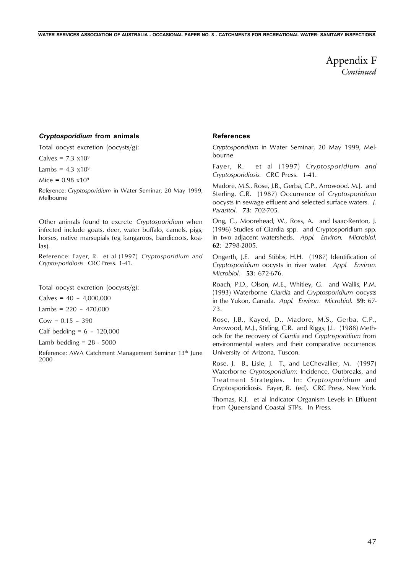*Continued* Appendix F

#### *Cryptosporidium* **from animals**

Total oocyst excretion (oocysts/g):

Calves =  $7.3 \times 10^9$ 

Lambs =  $4.3 \times 10^9$ 

Mice =  $0.98 \times 10^9$ 

Reference: *Cryptosporidium* in Water Seminar, 20 May 1999, Melbourne

Other animals found to excrete *Cryptosporidium* when infected include goats, deer, water buffalo, camels, pigs, horses, native marsupials (eg kangaroos, bandicoots, koalas).

Reference: Fayer, R. et al (1997) *Cryptosporidium and Cryptosporidiosis.* CRC Press. 1-41.

Total oocyst excretion (oocysts/g):

 $Calves = 40 - 4,000,000$ 

Lambs =  $220 - 470,000$ 

 $Cow = 0.15 - 390$ 

Calf bedding =  $6 - 120,000$ 

Lamb bedding  $= 28 - 5000$ 

Reference: AWA Catchment Management Seminar 13<sup>th</sup> June 2000

#### **References**

*Cryptosporidium* in Water Seminar, 20 May 1999, Melbourne

Fayer, R. et al (1997) *Cryptosporidium and Cryptosporidiosis.* CRC Press. 1-41.

Madore, M.S., Rose, J.B., Gerba, C.P., Arrowood, M.J. and Sterling, C.R. (1987) Occurrence of *Cryptosporidium* oocysts in sewage effluent and selected surface waters. *J. Parasitol*. **73**: 702-705.

Ong, C., Moorehead, W., Ross, A. and Isaac-Renton, J. (1996) Studies of Giardia spp. and Cryptosporidium spp. in two adjacent watersheds. *Appl. Environ. Microbiol*. **62**: 2798-2805.

Ongerth, J.E. and Stibbs, H.H. (1987) Identification of *Cryptosporidium* oocysts in river water*. Appl. Environ. Microbiol*. **53**: 672-676.

Roach, P.D., Olson, M.E., Whitley, G. and Wallis, P.M. (1993) Waterborne *Giardia* and *Cryptosporidium* oocysts in the Yukon, Canada. *Appl. Environ. Microbiol*. **59**: 67- 73.

Rose, J.B., Kayed, D., Madore, M.S., Gerba, C.P., Arrowood, M.J., Stirling, C.R. and Riggs, J.L. (1988) Methods for the recovery of *Giardia* and *Cryptosporidium* from environmental waters and their comparative occurrence. University of Arizona, Tuscon.

Rose, J. B., Lisle, J. T., and LeChevallier, M. (1997) Waterborne *Cryptosporidium*: Incidence, Outbreaks, and Treatment Strategies. In: *Cryptosporidium* and Cryptosporidiosis. Fayer, R. (ed). CRC Press, New York.

Thomas, R.J. et al Indicator Organism Levels in Effluent from Queensland Coastal STPs. In Press.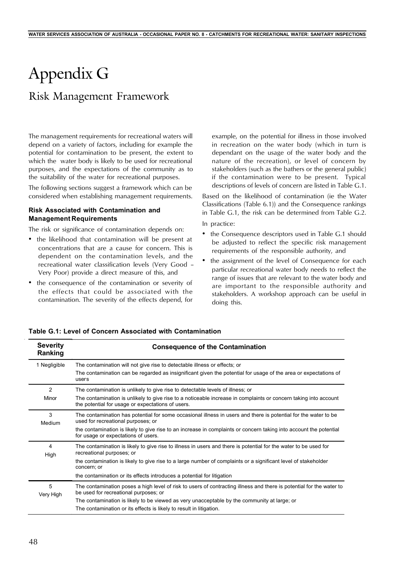# Appendix G

## Risk Management Framework

The management requirements for recreational waters will depend on a variety of factors, including for example the potential for contamination to be present, the extent to which the water body is likely to be used for recreational purposes, and the expectations of the community as to the suitability of the water for recreational purposes.

The following sections suggest a framework which can be considered when establishing management requirements.

#### **Risk Associated with Contamination and Management Requirements**

The risk or significance of contamination depends on:

- the likelihood that contamination will be present at concentrations that are a cause for concern. This is dependent on the contamination levels, and the recreational water classification levels (Very Good – Very Poor) provide a direct measure of this, and
- the consequence of the contamination or severity of the effects that could be associated with the contamination. The severity of the effects depend, for

example, on the potential for illness in those involved in recreation on the water body (which in turn is dependant on the usage of the water body and the nature of the recreation), or level of concern by stakeholders (such as the bathers or the general public) if the contamination were to be present. Typical descriptions of levels of concern are listed in Table G.1.

Based on the likelihood of contamination (ie the Water Classifications (Table 6.1)) and the Consequence rankings in Table G.1, the risk can be determined from Table G.2.

In practice:

- the Consequence descriptors used in Table G.1 should be adjusted to reflect the specific risk management requirements of the responsible authority, and
- the assignment of the level of Consequence for each particular recreational water body needs to reflect the range of issues that are relevant to the water body and are important to the responsible authority and stakeholders. A workshop approach can be useful in doing this.

| <b>Severity</b><br>Ranking | <b>Consequence of the Contamination</b>                                                                                                                                                                                                                                                                                                                  |
|----------------------------|----------------------------------------------------------------------------------------------------------------------------------------------------------------------------------------------------------------------------------------------------------------------------------------------------------------------------------------------------------|
| 1 Negligible               | The contamination will not give rise to detectable illness or effects; or<br>The contamination can be regarded as insignificant given the potential for usage of the area or expectations of<br>users                                                                                                                                                    |
| 2<br>Minor                 | The contamination is unlikely to give rise to detectable levels of illness; or<br>The contamination is unlikely to give rise to a noticeable increase in complaints or concern taking into account<br>the potential for usage or expectations of users.                                                                                                  |
| 3<br>Medium                | The contamination has potential for some occasional illness in users and there is potential for the water to be<br>used for recreational purposes; or<br>the contamination is likely to give rise to an increase in complaints or concern taking into account the potential<br>for usage or expectations of users.                                       |
| 4<br>High                  | The contamination is likely to give rise to illness in users and there is potential for the water to be used for<br>recreational purposes; or<br>the contamination is likely to give rise to a large number of complaints or a significant level of stakeholder<br>concern; or<br>the contamination or its effects introduces a potential for litigation |
| 5<br>Very High             | The contamination poses a high level of risk to users of contracting illness and there is potential for the water to<br>be used for recreational purposes; or<br>The contamination is likely to be viewed as very unacceptable by the community at large; or<br>The contamination or its effects is likely to result in litigation.                      |

**Table G.1: Level of Concern Associated with Contamination**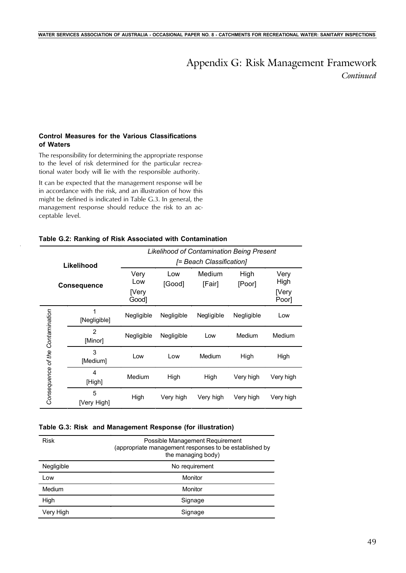## *Continued* Appendix G: Risk Management Framework

### **Control Measures for the Various Classifications of Waters**

The responsibility for determining the appropriate response to the level of risk determined for the particular recreational water body will lie with the responsible authority.

It can be expected that the management response will be in accordance with the risk, and an illustration of how this might be defined is indicated in Table G.3. In general, the management response should reduce the risk to an acceptable level.

|  |  |  |  |  |  |  | Table G.2: Ranking of Risk Associated with Contamination |
|--|--|--|--|--|--|--|----------------------------------------------------------|
|--|--|--|--|--|--|--|----------------------------------------------------------|

|                                     |                           | <b>Likelihood of Contamination Being Present</b> |                          |                  |                |                                |  |  |  |  |
|-------------------------------------|---------------------------|--------------------------------------------------|--------------------------|------------------|----------------|--------------------------------|--|--|--|--|
| Likelihood                          |                           |                                                  | [= Beach Classification] |                  |                |                                |  |  |  |  |
|                                     | <b>Consequence</b>        | Very<br>Low<br>[Very<br>Good]                    | Low<br>[Good]            | Medium<br>[Fair] | High<br>[Poor] | Very<br>High<br>[Very<br>Poor] |  |  |  |  |
|                                     | 1<br>[Negligible]         | Negligible                                       | Negligible               | Negligible       | Negligible     | Low                            |  |  |  |  |
| Contamination<br>Consequence of the | $\overline{2}$<br>[Minor] | Negligible                                       | Negligible               | Low              | Medium         | Medium                         |  |  |  |  |
|                                     | 3<br>[Medium]             | Low                                              | Low                      | Medium           | High           | High                           |  |  |  |  |
|                                     | 4<br>[High]               | Medium                                           | High                     | High             | Very high      | Very high                      |  |  |  |  |
|                                     | 5<br>[Very High]          | High                                             | Very high                | Very high        | Very high      | Very high                      |  |  |  |  |

#### **Table G.3: Risk and Management Response (for illustration)**

| <b>Risk</b> | Possible Management Requirement<br>(appropriate management responses to be established by<br>the managing body) |
|-------------|-----------------------------------------------------------------------------------------------------------------|
| Negligible  | No requirement                                                                                                  |
| Low         | Monitor                                                                                                         |
| Medium      | Monitor                                                                                                         |
| High        | Signage                                                                                                         |
| Very High   | Signage                                                                                                         |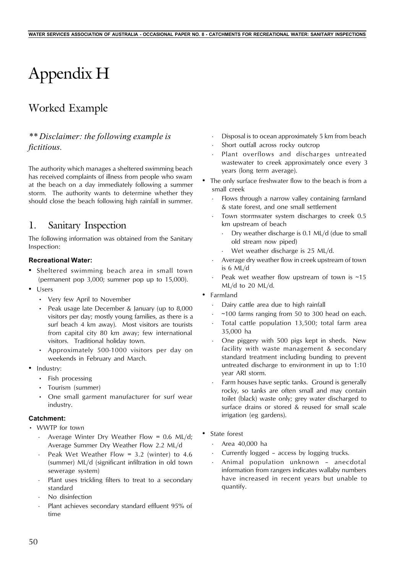# Appendix H

# Worked Example

## *\*\* Disclaimer: the following example is fictitious.*

The authority which manages a sheltered swimming beach has received complaints of illness from people who swam at the beach on a day immediately following a summer storm. The authority wants to determine whether they should close the beach following high rainfall in summer.

## 1. Sanitary Inspection

The following information was obtained from the Sanitary Inspection:

### **Recreational Water:**

- Sheltered swimming beach area in small town (permanent pop 3,000; summer pop up to 15,000).
- Users
	- Very few April to November
	- Peak usage late December & January (up to 8,000 visitors per day; mostly young families, as there is a surf beach 4 km away). Most visitors are tourists from capital city 80 km away; few international visitors. Traditional holiday town.
	- Approximately 500-1000 visitors per day on weekends in February and March.
- Industry:
	- Fish processing
	- Tourism (summer)
	- One small garment manufacturer for surf wear industry.

#### **Catchment:**

- WWTP for town
	- Average Winter Dry Weather Flow =  $0.6$  ML/d; Average Summer Dry Weather Flow 2.2 ML/d
	- Peak Wet Weather Flow = 3.2 (winter) to 4.6 (summer) ML/d (significant infiltration in old town sewerage system)
	- Plant uses trickling filters to treat to a secondary standard
	- No disinfection
	- Plant achieves secondary standard effluent 95% of time
- Disposal is to ocean approximately 5 km from beach
- Short outfall across rocky outcrop
- Plant overflows and discharges untreated wastewater to creek approximately once every 3 years (long term average).
- The only surface freshwater flow to the beach is from a small creek
	- Flows through a narrow valley containing farmland & state forest, and one small settlement
	- Town stormwater system discharges to creek 0.5 km upstream of beach
		- · Dry weather discharge is 0.1 ML/d (due to small old stream now piped)
		- Wet weather discharge is 25 ML/d.
	- Average dry weather flow in creek upstream of town is 6 ML/d
	- Peak wet weather flow upstream of town is  $~15$ ML/d to 20 ML/d.
- Farmland
	- Dairy cattle area due to high rainfall
	- $\sim$  100 farms ranging from 50 to 300 head on each.
	- Total cattle population 13,500; total farm area 35,000 ha
	- One piggery with 500 pigs kept in sheds. New facility with waste management & secondary standard treatment including bunding to prevent untreated discharge to environment in up to 1:10 year ARI storm.
	- Farm houses have septic tanks. Ground is generally rocky, so tanks are often small and may contain toilet (black) waste only; grey water discharged to surface drains or stored & reused for small scale irrigation (eg gardens).
- State forest
	- · Area 40,000 ha
	- Currently logged access by logging trucks.
	- Animal population unknown anecdotal information from rangers indicates wallaby numbers have increased in recent years but unable to quantify.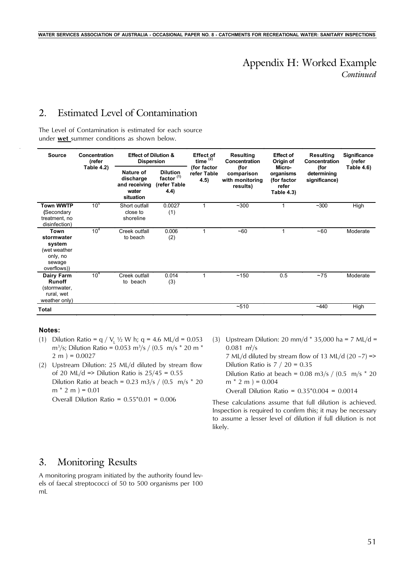## *Continued* Appendix H: Worked Example

## 2. Estimated Level of Contamination

The Level of Contamination is estimated for each source under **wet** summer conditions as shown below.

| <b>Source</b>                                                                     | Concentration<br>(refer | <b>Effect of Dilution &amp;</b><br><b>Dispersion</b>          |                                                                   | <b>Effect of</b><br>time $^{(2)}$  | <b>Resulting</b><br><b>Concentration</b>          | <b>Effect of</b><br>Origin of                             | Resulting<br><b>Concentration</b>    | <b>Significance</b><br>(refer |
|-----------------------------------------------------------------------------------|-------------------------|---------------------------------------------------------------|-------------------------------------------------------------------|------------------------------------|---------------------------------------------------|-----------------------------------------------------------|--------------------------------------|-------------------------------|
|                                                                                   | Table 4.2)              | Nature of<br>discharge<br>and receiving<br>water<br>situation | <b>Dilution</b><br>factor <sup>(1)</sup><br>(refer Table<br>(4.4) | (for factor<br>refer Table<br>4.5) | (for<br>comparison<br>with monitoring<br>results) | Micro-<br>organisms<br>(for factor<br>refer<br>Table 4.3) | (for<br>determining<br>significance) | Table 4.6)                    |
| <b>Town WWTP</b><br>(Secondary<br>treatment, no<br>disinfection)                  | 10 <sup>5</sup>         | Short outfall<br>close to<br>shoreline                        | 0.0027<br>(1)                                                     |                                    | ~100                                              | 1                                                         | $~1$ - 300                           | High                          |
| Town<br>stormwater<br>system<br>(wet weather<br>only, no<br>sewage<br>overflows)) | 10 <sup>4</sup>         | Creek outfall<br>to beach                                     | 0.006<br>(2)                                                      |                                    | $-60$                                             | 1                                                         | ~100                                 | Moderate                      |
| Dairy Farm<br><b>Runoff</b><br>(stormwater,<br>rural, wet<br>weather only)        | 10 <sup>4</sup>         | Creek outfall<br>to beach                                     | 0.014<br>(3)                                                      |                                    | ~150                                              | 0.5                                                       | $~1$ 75                              | Moderate                      |
| Total                                                                             |                         |                                                               |                                                                   |                                    | $-510$                                            |                                                           | $-440$                               | High                          |

#### **Notes:**

- (1) Dilution Ratio = q /  $V_1$  ½ W h; q = 4.6 ML/d = 0.053  $\rm m^3/s$ ; Dilution Ratio = 0.053  $\rm m^3/s$  / (0.5  $\rm m/s$  \* 20  $\rm m$  \*  $2 m$ ) = 0.0027
- (2) Upstream Dilution: 25 ML/d diluted by stream flow of 20 ML/d => Dilution Ratio is  $25/45 = 0.55$ Dilution Ratio at beach =  $0.23$  m3/s /  $(0.5 \text{ m/s} \times 20)$  $m * 2 m$  ) = 0.01 Overall Dilution Ratio =  $0.55*0.01 = 0.006$
- (3) Upstream Dilution: 20 mm/d  $*$  35,000 ha = 7 ML/d =  $0.081 \, \text{m}^3/\text{s}$ 7 ML/d diluted by stream flow of 13 ML/d  $(20 - 7)$  => Dilution Ratio is  $7 / 20 = 0.35$ Dilution Ratio at beach =  $0.08$  m3/s /  $(0.5 \text{ m/s} \cdot 20)$  $m * 2 m$  ) = 0.004 Overall Dilution Ratio = 0.35\*0.004 = 0.0014

These calculations assume that full dilution is achieved. Inspection is required to confirm this; it may be necessary to assume a lesser level of dilution if full dilution is not likely.

## 3. Monitoring Results

A monitoring program initiated by the authority found levels of faecal streptococci of 50 to 500 organisms per 100 mL